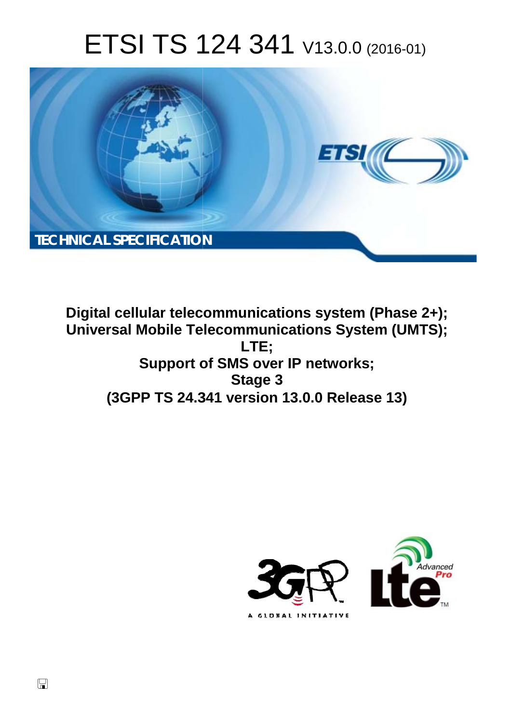# ETSI TS 124 341 V13.0.0 (2016-01)



**Digital cellular telecommunications system (Phase 2+); Universal Mobile Tel elecommunications System ( (UMTS); Support o t of SMS over IP networks; (3GPP TS 24.3 .341 version 13.0.0 Release 13 13) LTE; Stage 3** 



 $\Box$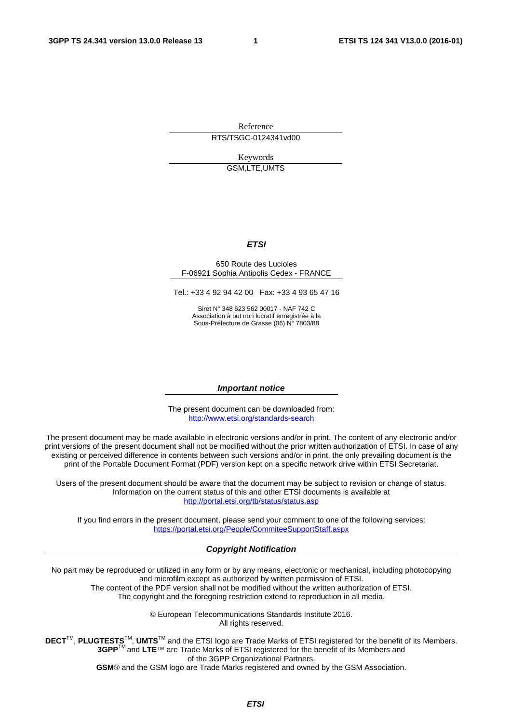Reference

RTS/TSGC-0124341vd00

Keywords GSM,LTE,UMTS

#### *ETSI*

#### 650 Route des Lucioles F-06921 Sophia Antipolis Cedex - FRANCE

Tel.: +33 4 92 94 42 00 Fax: +33 4 93 65 47 16

Siret N° 348 623 562 00017 - NAF 742 C Association à but non lucratif enregistrée à la Sous-Préfecture de Grasse (06) N° 7803/88

#### *Important notice*

The present document can be downloaded from: <http://www.etsi.org/standards-search>

The present document may be made available in electronic versions and/or in print. The content of any electronic and/or print versions of the present document shall not be modified without the prior written authorization of ETSI. In case of any existing or perceived difference in contents between such versions and/or in print, the only prevailing document is the print of the Portable Document Format (PDF) version kept on a specific network drive within ETSI Secretariat.

Users of the present document should be aware that the document may be subject to revision or change of status. Information on the current status of this and other ETSI documents is available at <http://portal.etsi.org/tb/status/status.asp>

If you find errors in the present document, please send your comment to one of the following services: <https://portal.etsi.org/People/CommiteeSupportStaff.aspx>

#### *Copyright Notification*

No part may be reproduced or utilized in any form or by any means, electronic or mechanical, including photocopying and microfilm except as authorized by written permission of ETSI.

The content of the PDF version shall not be modified without the written authorization of ETSI. The copyright and the foregoing restriction extend to reproduction in all media.

> © European Telecommunications Standards Institute 2016. All rights reserved.

**DECT**TM, **PLUGTESTS**TM, **UMTS**TM and the ETSI logo are Trade Marks of ETSI registered for the benefit of its Members. **3GPP**TM and **LTE**™ are Trade Marks of ETSI registered for the benefit of its Members and of the 3GPP Organizational Partners.

**GSM**® and the GSM logo are Trade Marks registered and owned by the GSM Association.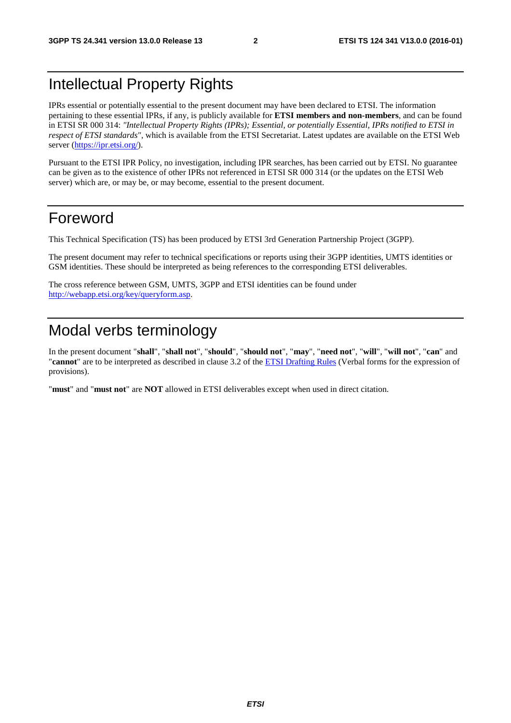## Intellectual Property Rights

IPRs essential or potentially essential to the present document may have been declared to ETSI. The information pertaining to these essential IPRs, if any, is publicly available for **ETSI members and non-members**, and can be found in ETSI SR 000 314: *"Intellectual Property Rights (IPRs); Essential, or potentially Essential, IPRs notified to ETSI in respect of ETSI standards"*, which is available from the ETSI Secretariat. Latest updates are available on the ETSI Web server [\(https://ipr.etsi.org/](https://ipr.etsi.org/)).

Pursuant to the ETSI IPR Policy, no investigation, including IPR searches, has been carried out by ETSI. No guarantee can be given as to the existence of other IPRs not referenced in ETSI SR 000 314 (or the updates on the ETSI Web server) which are, or may be, or may become, essential to the present document.

## Foreword

This Technical Specification (TS) has been produced by ETSI 3rd Generation Partnership Project (3GPP).

The present document may refer to technical specifications or reports using their 3GPP identities, UMTS identities or GSM identities. These should be interpreted as being references to the corresponding ETSI deliverables.

The cross reference between GSM, UMTS, 3GPP and ETSI identities can be found under [http://webapp.etsi.org/key/queryform.asp.](http://webapp.etsi.org/key/queryform.asp)

## Modal verbs terminology

In the present document "**shall**", "**shall not**", "**should**", "**should not**", "**may**", "**need not**", "**will**", "**will not**", "**can**" and "**cannot**" are to be interpreted as described in clause 3.2 of the [ETSI Drafting Rules](http://portal.etsi.org/Help/editHelp!/Howtostart/ETSIDraftingRules.aspx) (Verbal forms for the expression of provisions).

"**must**" and "**must not**" are **NOT** allowed in ETSI deliverables except when used in direct citation.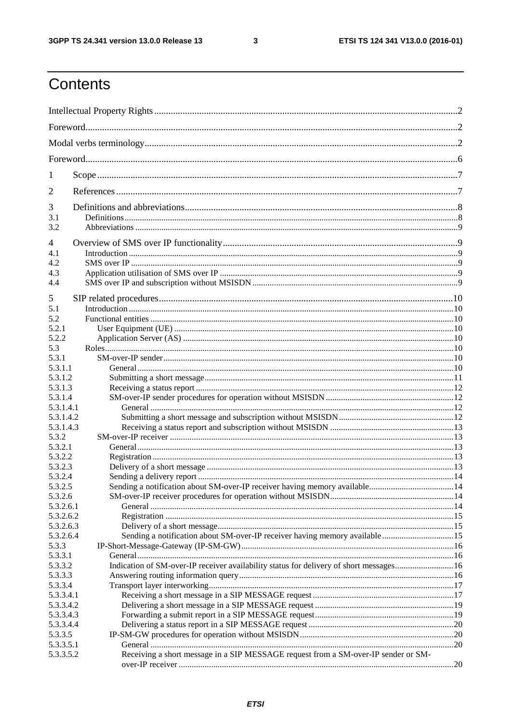$\mathbf{3}$ 

## Contents

| 1                      |                                                                                        |  |  |  |  |  |  |  |
|------------------------|----------------------------------------------------------------------------------------|--|--|--|--|--|--|--|
| 2                      |                                                                                        |  |  |  |  |  |  |  |
| 3                      |                                                                                        |  |  |  |  |  |  |  |
| 3.1<br>3.2             |                                                                                        |  |  |  |  |  |  |  |
| 4                      |                                                                                        |  |  |  |  |  |  |  |
| 4.1                    |                                                                                        |  |  |  |  |  |  |  |
| 4.2                    |                                                                                        |  |  |  |  |  |  |  |
| 4.3                    |                                                                                        |  |  |  |  |  |  |  |
| 4.4                    |                                                                                        |  |  |  |  |  |  |  |
| 5                      |                                                                                        |  |  |  |  |  |  |  |
| 5.1                    |                                                                                        |  |  |  |  |  |  |  |
| 5.2                    |                                                                                        |  |  |  |  |  |  |  |
| 5.2.1                  |                                                                                        |  |  |  |  |  |  |  |
| 5.2.2                  |                                                                                        |  |  |  |  |  |  |  |
| 5.3                    |                                                                                        |  |  |  |  |  |  |  |
| 5.3.1                  |                                                                                        |  |  |  |  |  |  |  |
| 5.3.1.1                |                                                                                        |  |  |  |  |  |  |  |
| 5.3.1.2<br>5.3.1.3     |                                                                                        |  |  |  |  |  |  |  |
| 5.3.1.4                |                                                                                        |  |  |  |  |  |  |  |
| 5.3.1.4.1              |                                                                                        |  |  |  |  |  |  |  |
| 5.3.1.4.2              |                                                                                        |  |  |  |  |  |  |  |
| 5.3.1.4.3              |                                                                                        |  |  |  |  |  |  |  |
| 5.3.2                  |                                                                                        |  |  |  |  |  |  |  |
| 5.3.2.1                |                                                                                        |  |  |  |  |  |  |  |
| 5.3.2.2                |                                                                                        |  |  |  |  |  |  |  |
| 5.3.2.3                |                                                                                        |  |  |  |  |  |  |  |
| 5.3.2.4                |                                                                                        |  |  |  |  |  |  |  |
| 5.3.2.5                |                                                                                        |  |  |  |  |  |  |  |
| 5.3.2.6                |                                                                                        |  |  |  |  |  |  |  |
| 5.3.2.6.1              |                                                                                        |  |  |  |  |  |  |  |
| 5.3.2.6.2<br>5.3.2.6.3 |                                                                                        |  |  |  |  |  |  |  |
| 5.3.2.6.4              |                                                                                        |  |  |  |  |  |  |  |
| 5.3.3                  |                                                                                        |  |  |  |  |  |  |  |
| 5.3.3.1                |                                                                                        |  |  |  |  |  |  |  |
| 5.3.3.2                | Indication of SM-over-IP receiver availability status for delivery of short messages16 |  |  |  |  |  |  |  |
| 5.3.3.3                |                                                                                        |  |  |  |  |  |  |  |
| 5.3.3.4                |                                                                                        |  |  |  |  |  |  |  |
| 5.3.3.4.1              |                                                                                        |  |  |  |  |  |  |  |
| 5.3.3.4.2              |                                                                                        |  |  |  |  |  |  |  |
| 5.3.3.4.3              |                                                                                        |  |  |  |  |  |  |  |
| 5.3.3.4.4              |                                                                                        |  |  |  |  |  |  |  |
| 5.3.3.5                |                                                                                        |  |  |  |  |  |  |  |
| 5.3.3.5.1              |                                                                                        |  |  |  |  |  |  |  |
| 5.3.3.5.2              | Receiving a short message in a SIP MESSAGE request from a SM-over-IP sender or SM-     |  |  |  |  |  |  |  |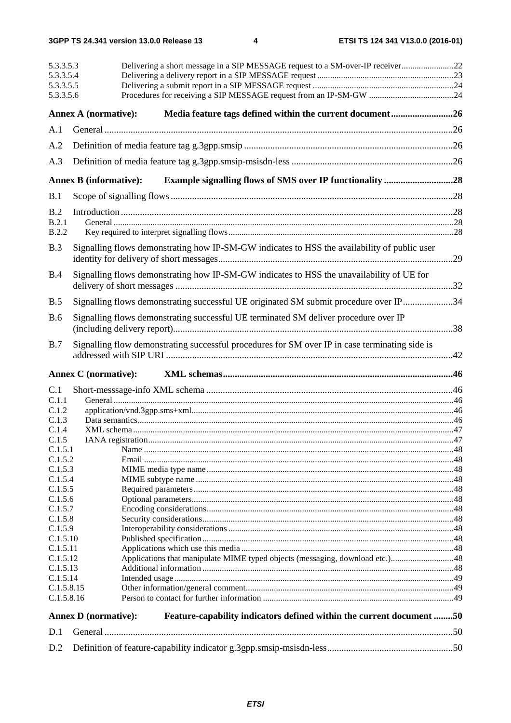|                       | Delivering a short message in a SIP MESSAGE request to a SM-over-IP receiver22<br>5.3.3.5.3<br>5.3.3.5.4<br>5.3.3.5.5<br>5.3.3.5.6 |                                                                                                |  |  |  |  |  |
|-----------------------|------------------------------------------------------------------------------------------------------------------------------------|------------------------------------------------------------------------------------------------|--|--|--|--|--|
|                       | <b>Annex A (normative):</b>                                                                                                        | Media feature tags defined within the current document26                                       |  |  |  |  |  |
| A.1                   |                                                                                                                                    |                                                                                                |  |  |  |  |  |
| A.2                   |                                                                                                                                    |                                                                                                |  |  |  |  |  |
| A.3                   |                                                                                                                                    |                                                                                                |  |  |  |  |  |
|                       |                                                                                                                                    |                                                                                                |  |  |  |  |  |
|                       | <b>Annex B</b> (informative):                                                                                                      | <b>Example signalling flows of SMS over IP functionality 28</b>                                |  |  |  |  |  |
| B.1                   |                                                                                                                                    |                                                                                                |  |  |  |  |  |
| B.2                   |                                                                                                                                    |                                                                                                |  |  |  |  |  |
| B.2.1<br><b>B.2.2</b> |                                                                                                                                    |                                                                                                |  |  |  |  |  |
|                       |                                                                                                                                    |                                                                                                |  |  |  |  |  |
| B.3                   |                                                                                                                                    | Signalling flows demonstrating how IP-SM-GW indicates to HSS the availability of public user   |  |  |  |  |  |
| B.4                   |                                                                                                                                    | Signalling flows demonstrating how IP-SM-GW indicates to HSS the unavailability of UE for      |  |  |  |  |  |
| B.5                   |                                                                                                                                    | Signalling flows demonstrating successful UE originated SM submit procedure over IP34          |  |  |  |  |  |
| <b>B.6</b>            |                                                                                                                                    | Signalling flows demonstrating successful UE terminated SM deliver procedure over IP           |  |  |  |  |  |
| B.7                   | <b>Annex C</b> (normative):                                                                                                        | Signalling flow demonstrating successful procedures for SM over IP in case terminating side is |  |  |  |  |  |
| C.1                   |                                                                                                                                    |                                                                                                |  |  |  |  |  |
| C.1.1                 |                                                                                                                                    |                                                                                                |  |  |  |  |  |
| C.1.2                 |                                                                                                                                    |                                                                                                |  |  |  |  |  |
| C.1.3<br>C.1.4        |                                                                                                                                    |                                                                                                |  |  |  |  |  |
| C.1.5                 |                                                                                                                                    |                                                                                                |  |  |  |  |  |
| C.1.5.1               |                                                                                                                                    |                                                                                                |  |  |  |  |  |
| C.1.5.2               |                                                                                                                                    |                                                                                                |  |  |  |  |  |
| C.1.5.3               |                                                                                                                                    |                                                                                                |  |  |  |  |  |
| C.1.5.4<br>C.1.5.5    |                                                                                                                                    |                                                                                                |  |  |  |  |  |
| C.1.5.6               |                                                                                                                                    |                                                                                                |  |  |  |  |  |
| C.1.5.7               |                                                                                                                                    |                                                                                                |  |  |  |  |  |
| C.1.5.8               |                                                                                                                                    |                                                                                                |  |  |  |  |  |
| C.1.5.9               |                                                                                                                                    |                                                                                                |  |  |  |  |  |
| C.1.5.10              |                                                                                                                                    |                                                                                                |  |  |  |  |  |
| C.1.5.11              |                                                                                                                                    |                                                                                                |  |  |  |  |  |
| C.1.5.12<br>C.1.5.13  |                                                                                                                                    |                                                                                                |  |  |  |  |  |
| C.1.5.14              |                                                                                                                                    |                                                                                                |  |  |  |  |  |
|                       | C.1.5.8.15                                                                                                                         |                                                                                                |  |  |  |  |  |
| C.1.5.8.16            |                                                                                                                                    |                                                                                                |  |  |  |  |  |
|                       | <b>Annex D</b> (normative):                                                                                                        | Feature-capability indicators defined within the current document 50                           |  |  |  |  |  |
| D.1                   |                                                                                                                                    |                                                                                                |  |  |  |  |  |
| D.2                   |                                                                                                                                    |                                                                                                |  |  |  |  |  |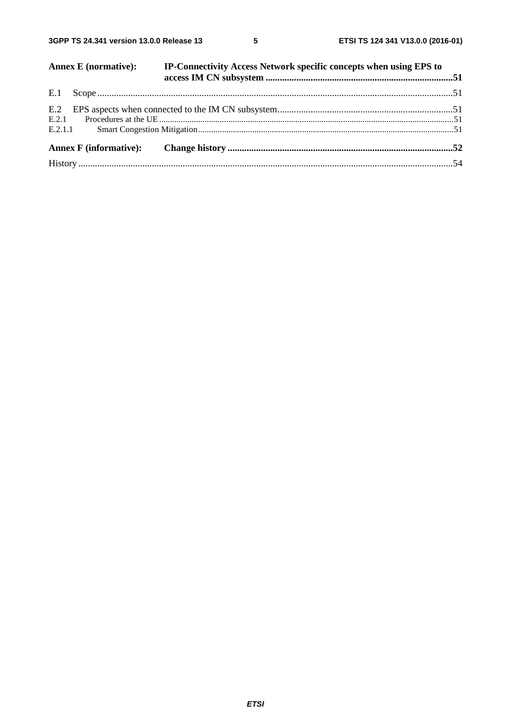$5\phantom{a}$ 

|     | <b>Annex E</b> (normative): | IP-Connectivity Access Network specific concepts when using EPS to |  |
|-----|-----------------------------|--------------------------------------------------------------------|--|
|     |                             |                                                                    |  |
| E.2 |                             |                                                                    |  |
|     |                             |                                                                    |  |
|     |                             |                                                                    |  |
|     |                             |                                                                    |  |
|     |                             |                                                                    |  |
|     |                             |                                                                    |  |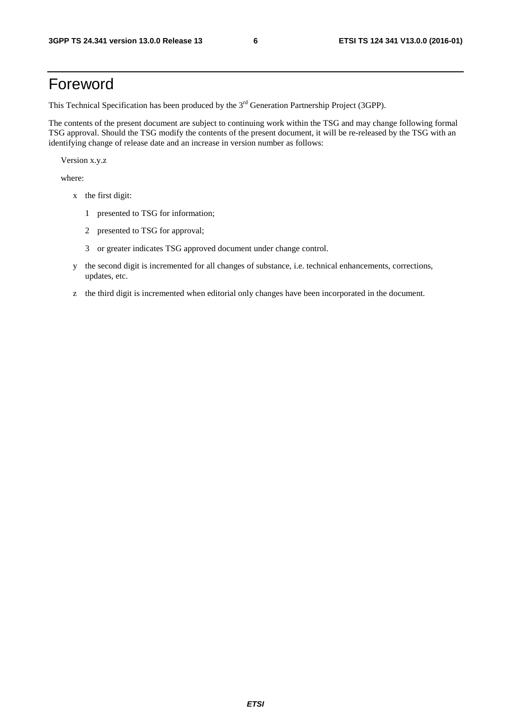## Foreword

This Technical Specification has been produced by the 3<sup>rd</sup> Generation Partnership Project (3GPP).

The contents of the present document are subject to continuing work within the TSG and may change following formal TSG approval. Should the TSG modify the contents of the present document, it will be re-released by the TSG with an identifying change of release date and an increase in version number as follows:

Version x.y.z

where:

- x the first digit:
	- 1 presented to TSG for information;
	- 2 presented to TSG for approval;
	- 3 or greater indicates TSG approved document under change control.
- y the second digit is incremented for all changes of substance, i.e. technical enhancements, corrections, updates, etc.
- z the third digit is incremented when editorial only changes have been incorporated in the document.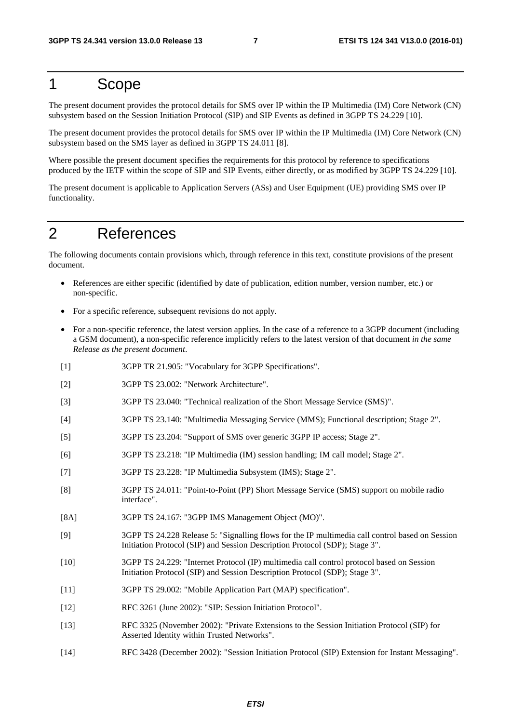## 1 Scope

The present document provides the protocol details for SMS over IP within the IP Multimedia (IM) Core Network (CN) subsystem based on the Session Initiation Protocol (SIP) and SIP Events as defined in 3GPP TS 24.229 [10].

The present document provides the protocol details for SMS over IP within the IP Multimedia (IM) Core Network (CN) subsystem based on the SMS layer as defined in 3GPP TS 24.011 [8].

Where possible the present document specifies the requirements for this protocol by reference to specifications produced by the IETF within the scope of SIP and SIP Events, either directly, or as modified by 3GPP TS 24.229 [10].

The present document is applicable to Application Servers (ASs) and User Equipment (UE) providing SMS over IP functionality.

## 2 References

The following documents contain provisions which, through reference in this text, constitute provisions of the present document.

- References are either specific (identified by date of publication, edition number, version number, etc.) or non-specific.
- For a specific reference, subsequent revisions do not apply.
- For a non-specific reference, the latest version applies. In the case of a reference to a 3GPP document (including a GSM document), a non-specific reference implicitly refers to the latest version of that document *in the same Release as the present document*.
- [1] 3GPP TR 21.905: "Vocabulary for 3GPP Specifications".
- [2] 3GPP TS 23.002: "Network Architecture".
- [3] 3GPP TS 23.040: "Technical realization of the Short Message Service (SMS)".
- [4] 3GPP TS 23.140: "Multimedia Messaging Service (MMS); Functional description; Stage 2".
- [5] 3GPP TS 23.204: "Support of SMS over generic 3GPP IP access; Stage 2".
- [6] 3GPP TS 23.218: "IP Multimedia (IM) session handling; IM call model; Stage 2".
- [7] 3GPP TS 23.228: "IP Multimedia Subsystem (IMS); Stage 2".
- [8] 3GPP TS 24.011: "Point-to-Point (PP) Short Message Service (SMS) support on mobile radio interface".
- [8A] 3GPP TS 24.167: "3GPP IMS Management Object (MO)".
- [9] 3GPP TS 24.228 Release 5: "Signalling flows for the IP multimedia call control based on Session Initiation Protocol (SIP) and Session Description Protocol (SDP); Stage 3".
- [10] 3GPP TS 24.229: "Internet Protocol (IP) multimedia call control protocol based on Session Initiation Protocol (SIP) and Session Description Protocol (SDP); Stage 3".
- [11] 3GPP TS 29.002: "Mobile Application Part (MAP) specification".
- [12] RFC 3261 (June 2002): "SIP: Session Initiation Protocol".
- [13] RFC 3325 (November 2002): "Private Extensions to the Session Initiation Protocol (SIP) for Asserted Identity within Trusted Networks".
- [14] RFC 3428 (December 2002): "Session Initiation Protocol (SIP) Extension for Instant Messaging".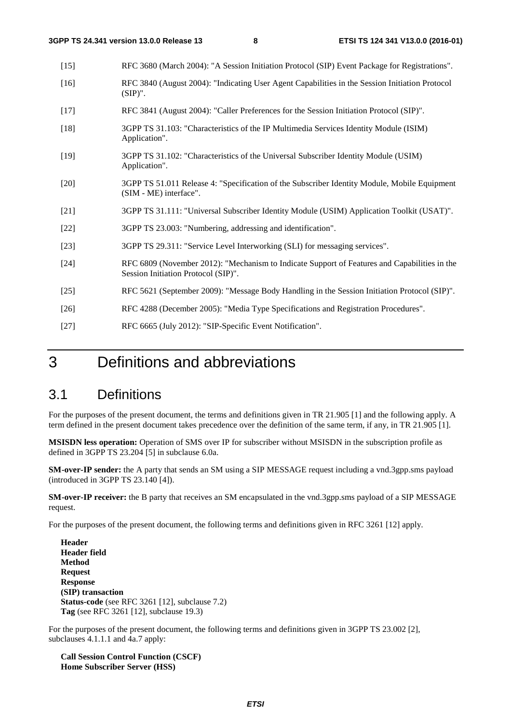| $[15]$ | RFC 3680 (March 2004): "A Session Initiation Protocol (SIP) Event Package for Registrations".                                       |
|--------|-------------------------------------------------------------------------------------------------------------------------------------|
| $[16]$ | RFC 3840 (August 2004): "Indicating User Agent Capabilities in the Session Initiation Protocol<br>$(SIP)$ ".                        |
| $[17]$ | RFC 3841 (August 2004): "Caller Preferences for the Session Initiation Protocol (SIP)".                                             |
| $[18]$ | 3GPP TS 31.103: "Characteristics of the IP Multimedia Services Identity Module (ISIM)<br>Application".                              |
| $[19]$ | 3GPP TS 31.102: "Characteristics of the Universal Subscriber Identity Module (USIM)<br>Application".                                |
| $[20]$ | 3GPP TS 51.011 Release 4: "Specification of the Subscriber Identity Module, Mobile Equipment<br>(SIM - ME) interface".              |
| $[21]$ | 3GPP TS 31.111: "Universal Subscriber Identity Module (USIM) Application Toolkit (USAT)".                                           |
| $[22]$ | 3GPP TS 23.003: "Numbering, addressing and identification".                                                                         |
| $[23]$ | 3GPP TS 29.311: "Service Level Interworking (SLI) for messaging services".                                                          |
| $[24]$ | RFC 6809 (November 2012): "Mechanism to Indicate Support of Features and Capabilities in the<br>Session Initiation Protocol (SIP)". |
| $[25]$ | RFC 5621 (September 2009): "Message Body Handling in the Session Initiation Protocol (SIP)".                                        |
| $[26]$ | RFC 4288 (December 2005): "Media Type Specifications and Registration Procedures".                                                  |
| $[27]$ | RFC 6665 (July 2012): "SIP-Specific Event Notification".                                                                            |

## 3 Definitions and abbreviations

### 3.1 Definitions

For the purposes of the present document, the terms and definitions given in TR 21.905 [1] and the following apply. A term defined in the present document takes precedence over the definition of the same term, if any, in TR 21.905 [1].

**MSISDN less operation:** Operation of SMS over IP for subscriber without MSISDN in the subscription profile as defined in 3GPP TS 23.204 [5] in subclause 6.0a.

**SM-over-IP sender:** the A party that sends an SM using a SIP MESSAGE request including a vnd.3gpp.sms payload (introduced in 3GPP TS 23.140 [4]).

**SM-over-IP receiver:** the B party that receives an SM encapsulated in the vnd.3gpp.sms payload of a SIP MESSAGE request.

For the purposes of the present document, the following terms and definitions given in RFC 3261 [12] apply.

**Header Header field Method Request Response (SIP) transaction Status-code** (see RFC 3261 [12], subclause 7.2) **Tag** (see RFC 3261 [12], subclause 19.3)

For the purposes of the present document, the following terms and definitions given in 3GPP TS 23.002 [2], subclauses 4.1.1.1 and 4a.7 apply:

**Call Session Control Function (CSCF) Home Subscriber Server (HSS)**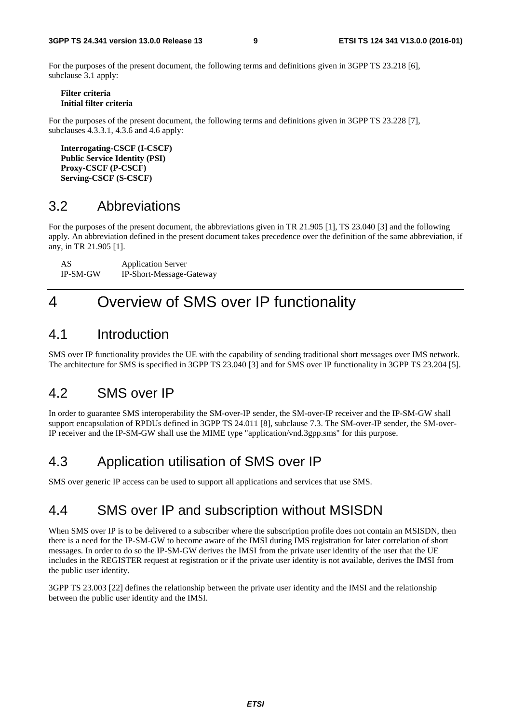For the purposes of the present document, the following terms and definitions given in 3GPP TS 23.218 [6], subclause 3.1 apply:

**Filter criteria Initial filter criteria** 

For the purposes of the present document, the following terms and definitions given in 3GPP TS 23.228 [7], subclauses 4.3.3.1, 4.3.6 and 4.6 apply:

**Interrogating-CSCF (I-CSCF) Public Service Identity (PSI) Proxy-CSCF (P-CSCF) Serving-CSCF (S-CSCF)** 

### 3.2 Abbreviations

For the purposes of the present document, the abbreviations given in TR 21.905 [1], TS 23.040 [3] and the following apply. An abbreviation defined in the present document takes precedence over the definition of the same abbreviation, if any, in TR 21.905 [1].

AS Application Server IP-SM-GW IP-Short-Message-Gateway

## 4 Overview of SMS over IP functionality

### 4.1 Introduction

SMS over IP functionality provides the UE with the capability of sending traditional short messages over IMS network. The architecture for SMS is specified in 3GPP TS 23.040 [3] and for SMS over IP functionality in 3GPP TS 23.204 [5].

### 4.2 SMS over IP

In order to guarantee SMS interoperability the SM-over-IP sender, the SM-over-IP receiver and the IP-SM-GW shall support encapsulation of RPDUs defined in 3GPP TS 24.011 [8], subclause 7.3. The SM-over-IP sender, the SM-over-IP receiver and the IP-SM-GW shall use the MIME type "application/vnd.3gpp.sms" for this purpose.

## 4.3 Application utilisation of SMS over IP

SMS over generic IP access can be used to support all applications and services that use SMS.

### 4.4 SMS over IP and subscription without MSISDN

When SMS over IP is to be delivered to a subscriber where the subscription profile does not contain an MSISDN, then there is a need for the IP-SM-GW to become aware of the IMSI during IMS registration for later correlation of short messages. In order to do so the IP-SM-GW derives the IMSI from the private user identity of the user that the UE includes in the REGISTER request at registration or if the private user identity is not available, derives the IMSI from the public user identity.

3GPP TS 23.003 [22] defines the relationship between the private user identity and the IMSI and the relationship between the public user identity and the IMSI.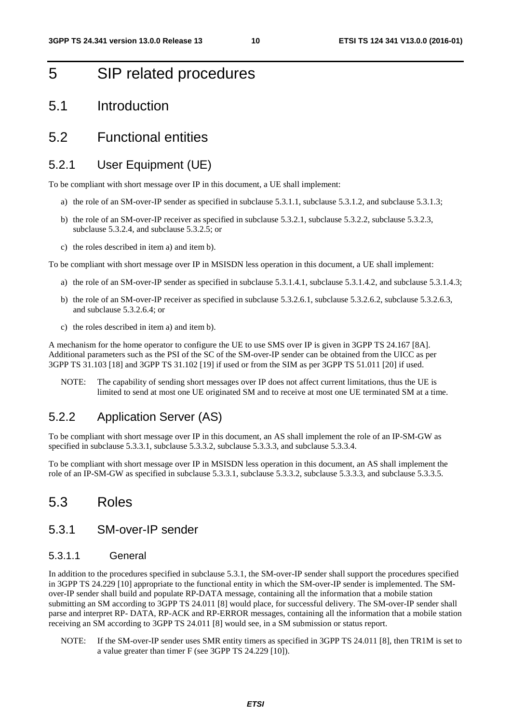## 5 SIP related procedures

5.1 Introduction

### 5.2 Functional entities

### 5.2.1 User Equipment (UE)

To be compliant with short message over IP in this document, a UE shall implement:

- a) the role of an SM-over-IP sender as specified in subclause 5.3.1.1, subclause 5.3.1.2, and subclause 5.3.1.3;
- b) the role of an SM-over-IP receiver as specified in subclause 5.3.2.1, subclause 5.3.2.2, subclause 5.3.2.3, subclause 5.3.2.4, and subclause 5.3.2.5; or
- c) the roles described in item a) and item b).

To be compliant with short message over IP in MSISDN less operation in this document, a UE shall implement:

- a) the role of an SM-over-IP sender as specified in subclause 5.3.1.4.1, subclause 5.3.1.4.2, and subclause 5.3.1.4.3;
- b) the role of an SM-over-IP receiver as specified in subclause 5.3.2.6.1, subclause 5.3.2.6.2, subclause 5.3.2.6.3, and subclause 5.3.2.6.4; or
- c) the roles described in item a) and item b).

A mechanism for the home operator to configure the UE to use SMS over IP is given in 3GPP TS 24.167 [8A]. Additional parameters such as the PSI of the SC of the SM-over-IP sender can be obtained from the UICC as per 3GPP TS 31.103 [18] and 3GPP TS 31.102 [19] if used or from the SIM as per 3GPP TS 51.011 [20] if used.

NOTE: The capability of sending short messages over IP does not affect current limitations, thus the UE is limited to send at most one UE originated SM and to receive at most one UE terminated SM at a time.

### 5.2.2 Application Server (AS)

To be compliant with short message over IP in this document, an AS shall implement the role of an IP-SM-GW as specified in subclause 5.3.3.1, subclause 5.3.3.2, subclause 5.3.3.3, and subclause 5.3.3.4.

To be compliant with short message over IP in MSISDN less operation in this document, an AS shall implement the role of an IP-SM-GW as specified in subclause 5.3.3.1, subclause 5.3.3.2, subclause 5.3.3.3, and subclause 5.3.3.5.

### 5.3 Roles

### 5.3.1 SM-over-IP sender

### 5.3.1.1 General

In addition to the procedures specified in subclause 5.3.1, the SM-over-IP sender shall support the procedures specified in 3GPP TS 24.229 [10] appropriate to the functional entity in which the SM-over-IP sender is implemented. The SMover-IP sender shall build and populate RP-DATA message, containing all the information that a mobile station submitting an SM according to 3GPP TS 24.011 [8] would place, for successful delivery. The SM-over-IP sender shall parse and interpret RP- DATA, RP-ACK and RP-ERROR messages, containing all the information that a mobile station receiving an SM according to 3GPP TS 24.011 [8] would see, in a SM submission or status report.

NOTE: If the SM-over-IP sender uses SMR entity timers as specified in 3GPP TS 24.011 [8], then TR1M is set to a value greater than timer F (see 3GPP TS 24.229 [10]).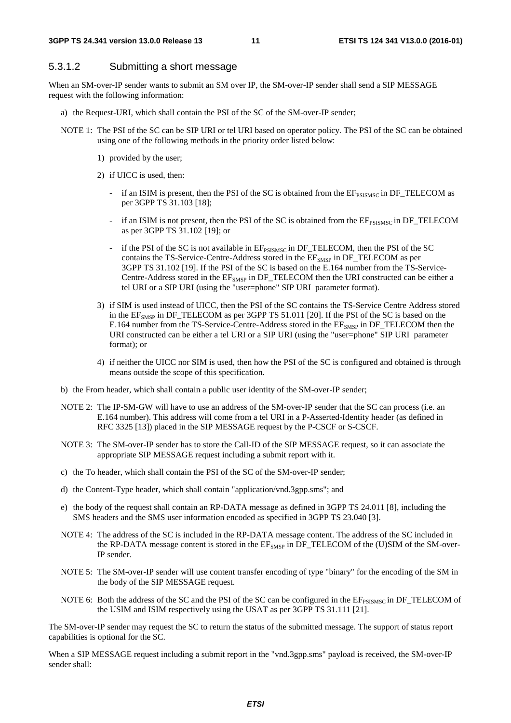### 5.3.1.2 Submitting a short message

When an SM-over-IP sender wants to submit an SM over IP, the SM-over-IP sender shall send a SIP MESSAGE request with the following information:

- a) the Request-URI, which shall contain the PSI of the SC of the SM-over-IP sender;
- NOTE 1: The PSI of the SC can be SIP URI or tel URI based on operator policy. The PSI of the SC can be obtained using one of the following methods in the priority order listed below:
	- 1) provided by the user;
	- 2) if UICC is used, then:
		- if an ISIM is present, then the PSI of the SC is obtained from the  $EF_{PSISMC}$  in DF\_TELECOM as per 3GPP TS 31.103 [18];
		- if an ISIM is not present, then the PSI of the SC is obtained from the  $EF_{\text{PSISMSC}}$  in  $DF_{\text{TELECOM}}$ as per 3GPP TS 31.102 [19]; or
		- if the PSI of the SC is not available in EFPSISMSC in DF\_TELECOM, then the PSI of the SC contains the TS-Service-Centre-Address stored in the EF<sub>SMSP</sub> in DF\_TELECOM as per 3GPP TS 31.102 [19]. If the PSI of the SC is based on the E.164 number from the TS-Service-Centre-Address stored in the  $EF_{SMSP}$  in  $DF_TELECOM$  then the URI constructed can be either a tel URI or a SIP URI (using the "user=phone" SIP URI parameter format).
	- 3) if SIM is used instead of UICC, then the PSI of the SC contains the TS-Service Centre Address stored in the  $EF<sub>SMSP</sub>$  in DF\_TELECOM as per 3GPP TS 51.011 [20]. If the PSI of the SC is based on the E.164 number from the TS-Service-Centre-Address stored in the EF<sub>SMSP</sub> in DF\_TELECOM then the URI constructed can be either a tel URI or a SIP URI (using the "user=phone" SIP URI parameter format); or
	- 4) if neither the UICC nor SIM is used, then how the PSI of the SC is configured and obtained is through means outside the scope of this specification.
- b) the From header, which shall contain a public user identity of the SM-over-IP sender;
- NOTE 2: The IP-SM-GW will have to use an address of the SM-over-IP sender that the SC can process (i.e. an E.164 number). This address will come from a tel URI in a P-Asserted-Identity header (as defined in RFC 3325 [13]) placed in the SIP MESSAGE request by the P-CSCF or S-CSCF.
- NOTE 3: The SM-over-IP sender has to store the Call-ID of the SIP MESSAGE request, so it can associate the appropriate SIP MESSAGE request including a submit report with it.
- c) the To header, which shall contain the PSI of the SC of the SM-over-IP sender;
- d) the Content-Type header, which shall contain "application/vnd.3gpp.sms"; and
- e) the body of the request shall contain an RP-DATA message as defined in 3GPP TS 24.011 [8], including the SMS headers and the SMS user information encoded as specified in 3GPP TS 23.040 [3].
- NOTE 4: The address of the SC is included in the RP-DATA message content. The address of the SC included in the RP-DATA message content is stored in the  $EF<sub>SNSP</sub>$  in DF\_TELECOM of the (U)SIM of the SM-over-IP sender.
- NOTE 5: The SM-over-IP sender will use content transfer encoding of type "binary" for the encoding of the SM in the body of the SIP MESSAGE request.
- NOTE 6: Both the address of the SC and the PSI of the SC can be configured in the  $EF_{PSMSC}$  in DF\_TELECOM of the USIM and ISIM respectively using the USAT as per 3GPP TS 31.111 [21].

The SM-over-IP sender may request the SC to return the status of the submitted message. The support of status report capabilities is optional for the SC.

When a SIP MESSAGE request including a submit report in the "vnd.3gpp.sms" payload is received, the SM-over-IP sender shall: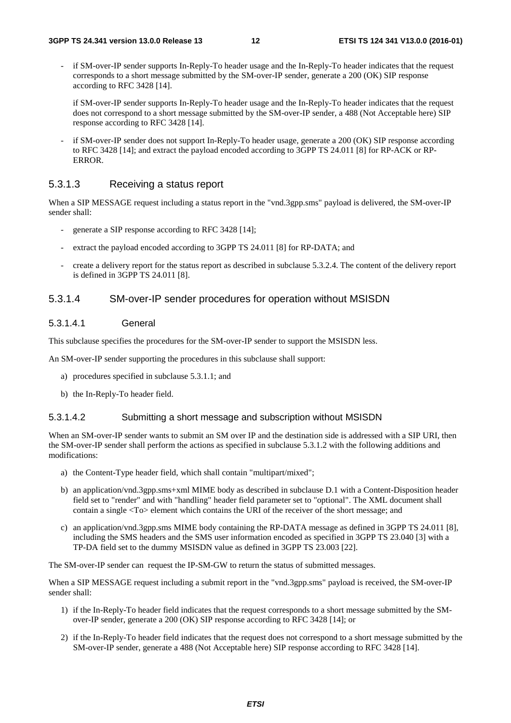- if SM-over-IP sender supports In-Reply-To header usage and the In-Reply-To header indicates that the request corresponds to a short message submitted by the SM-over-IP sender, generate a 200 (OK) SIP response according to RFC 3428 [14].
	- if SM-over-IP sender supports In-Reply-To header usage and the In-Reply-To header indicates that the request does not correspond to a short message submitted by the SM-over-IP sender, a 488 (Not Acceptable here) SIP response according to RFC 3428 [14].
- if SM-over-IP sender does not support In-Reply-To header usage, generate a 200 (OK) SIP response according to RFC 3428 [14]; and extract the payload encoded according to 3GPP TS 24.011 [8] for RP-ACK or RP-ERROR.

### 5.3.1.3 Receiving a status report

When a SIP MESSAGE request including a status report in the "vnd.3gpp.sms" payload is delivered, the SM-over-IP sender shall:

- generate a SIP response according to RFC 3428 [14];
- extract the payload encoded according to 3GPP TS 24.011 [8] for RP-DATA; and
- create a delivery report for the status report as described in subclause 5.3.2.4. The content of the delivery report is defined in 3GPP TS 24.011 [8].

### 5.3.1.4 SM-over-IP sender procedures for operation without MSISDN

#### 5.3.1.4.1 General

This subclause specifies the procedures for the SM-over-IP sender to support the MSISDN less.

An SM-over-IP sender supporting the procedures in this subclause shall support:

- a) procedures specified in subclause 5.3.1.1; and
- b) the In-Reply-To header field.

#### 5.3.1.4.2 Submitting a short message and subscription without MSISDN

When an SM-over-IP sender wants to submit an SM over IP and the destination side is addressed with a SIP URI, then the SM-over-IP sender shall perform the actions as specified in subclause 5.3.1.2 with the following additions and modifications:

- a) the Content-Type header field, which shall contain "multipart/mixed";
- b) an application/vnd.3gpp.sms+xml MIME body as described in subclause D.1 with a Content-Disposition header field set to "render" and with "handling" header field parameter set to "optional". The XML document shall contain a single <To> element which contains the URI of the receiver of the short message; and
- c) an application/vnd.3gpp.sms MIME body containing the RP-DATA message as defined in 3GPP TS 24.011 [8], including the SMS headers and the SMS user information encoded as specified in 3GPP TS 23.040 [3] with a TP-DA field set to the dummy MSISDN value as defined in 3GPP TS 23.003 [22].

The SM-over-IP sender can request the IP-SM-GW to return the status of submitted messages.

When a SIP MESSAGE request including a submit report in the "vnd.3gpp.sms" payload is received, the SM-over-IP sender shall:

- 1) if the In-Reply-To header field indicates that the request corresponds to a short message submitted by the SMover-IP sender, generate a 200 (OK) SIP response according to RFC 3428 [14]; or
- 2) if the In-Reply-To header field indicates that the request does not correspond to a short message submitted by the SM-over-IP sender, generate a 488 (Not Acceptable here) SIP response according to RFC 3428 [14].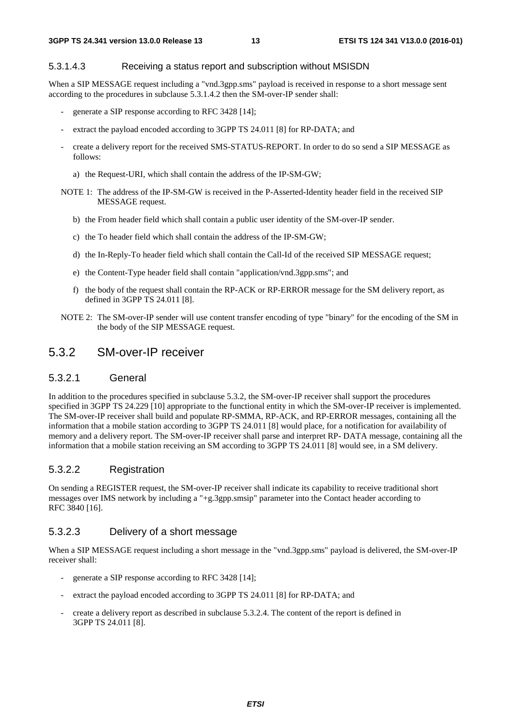#### 5.3.1.4.3 Receiving a status report and subscription without MSISDN

When a SIP MESSAGE request including a "vnd.3gpp.sms" payload is received in response to a short message sent according to the procedures in subclause 5.3.1.4.2 then the SM-over-IP sender shall:

- generate a SIP response according to RFC 3428 [14];
- extract the payload encoded according to 3GPP TS 24.011 [8] for RP-DATA; and
- create a delivery report for the received SMS-STATUS-REPORT. In order to do so send a SIP MESSAGE as follows:
	- a) the Request-URI, which shall contain the address of the IP-SM-GW;
- NOTE 1: The address of the IP-SM-GW is received in the P-Asserted-Identity header field in the received SIP MESSAGE request.
	- b) the From header field which shall contain a public user identity of the SM-over-IP sender.
	- c) the To header field which shall contain the address of the IP-SM-GW;
	- d) the In-Reply-To header field which shall contain the Call-Id of the received SIP MESSAGE request;
	- e) the Content-Type header field shall contain "application/vnd.3gpp.sms"; and
	- f) the body of the request shall contain the RP-ACK or RP-ERROR message for the SM delivery report, as defined in 3GPP TS 24.011 [8].
- NOTE 2: The SM-over-IP sender will use content transfer encoding of type "binary" for the encoding of the SM in the body of the SIP MESSAGE request.

### 5.3.2 SM-over-IP receiver

### 5.3.2.1 General

In addition to the procedures specified in subclause 5.3.2, the SM-over-IP receiver shall support the procedures specified in 3GPP TS 24.229 [10] appropriate to the functional entity in which the SM-over-IP receiver is implemented. The SM-over-IP receiver shall build and populate RP-SMMA, RP-ACK, and RP-ERROR messages, containing all the information that a mobile station according to 3GPP TS 24.011 [8] would place, for a notification for availability of memory and a delivery report. The SM-over-IP receiver shall parse and interpret RP- DATA message, containing all the information that a mobile station receiving an SM according to 3GPP TS 24.011 [8] would see, in a SM delivery.

### 5.3.2.2 Registration

On sending a REGISTER request, the SM-over-IP receiver shall indicate its capability to receive traditional short messages over IMS network by including a "+g.3gpp.smsip" parameter into the Contact header according to RFC 3840 [16].

#### 5.3.2.3 Delivery of a short message

When a SIP MESSAGE request including a short message in the "vnd.3gpp.sms" payload is delivered, the SM-over-IP receiver shall:

- generate a SIP response according to RFC 3428 [14];
- extract the payload encoded according to 3GPP TS 24.011 [8] for RP-DATA; and
- create a delivery report as described in subclause 5.3.2.4. The content of the report is defined in 3GPP TS 24.011 [8].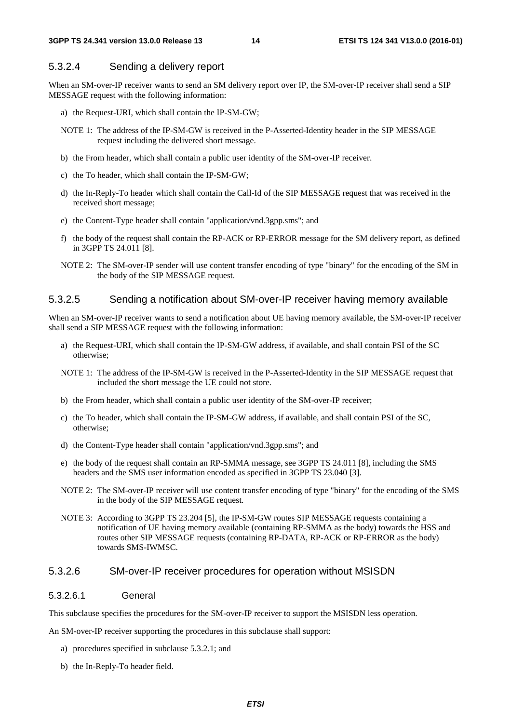### 5.3.2.4 Sending a delivery report

When an SM-over-IP receiver wants to send an SM delivery report over IP, the SM-over-IP receiver shall send a SIP MESSAGE request with the following information:

- a) the Request-URI, which shall contain the IP-SM-GW;
- NOTE 1: The address of the IP-SM-GW is received in the P-Asserted-Identity header in the SIP MESSAGE request including the delivered short message.
- b) the From header, which shall contain a public user identity of the SM-over-IP receiver.
- c) the To header, which shall contain the IP-SM-GW;
- d) the In-Reply-To header which shall contain the Call-Id of the SIP MESSAGE request that was received in the received short message;
- e) the Content-Type header shall contain "application/vnd.3gpp.sms"; and
- f) the body of the request shall contain the RP-ACK or RP-ERROR message for the SM delivery report, as defined in 3GPP TS 24.011 [8].
- NOTE 2: The SM-over-IP sender will use content transfer encoding of type "binary" for the encoding of the SM in the body of the SIP MESSAGE request.

### 5.3.2.5 Sending a notification about SM-over-IP receiver having memory available

When an SM-over-IP receiver wants to send a notification about UE having memory available, the SM-over-IP receiver shall send a SIP MESSAGE request with the following information:

- a) the Request-URI, which shall contain the IP-SM-GW address, if available, and shall contain PSI of the SC otherwise;
- NOTE 1: The address of the IP-SM-GW is received in the P-Asserted-Identity in the SIP MESSAGE request that included the short message the UE could not store.
- b) the From header, which shall contain a public user identity of the SM-over-IP receiver;
- c) the To header, which shall contain the IP-SM-GW address, if available, and shall contain PSI of the SC, otherwise;
- d) the Content-Type header shall contain "application/vnd.3gpp.sms"; and
- e) the body of the request shall contain an RP-SMMA message, see 3GPP TS 24.011 [8], including the SMS headers and the SMS user information encoded as specified in 3GPP TS 23.040 [3].
- NOTE 2: The SM-over-IP receiver will use content transfer encoding of type "binary" for the encoding of the SMS in the body of the SIP MESSAGE request.
- NOTE 3: According to 3GPP TS 23.204 [5], the IP-SM-GW routes SIP MESSAGE requests containing a notification of UE having memory available (containing RP-SMMA as the body) towards the HSS and routes other SIP MESSAGE requests (containing RP-DATA, RP-ACK or RP-ERROR as the body) towards SMS-IWMSC.

#### 5.3.2.6 SM-over-IP receiver procedures for operation without MSISDN

#### 5.3.2.6.1 General

This subclause specifies the procedures for the SM-over-IP receiver to support the MSISDN less operation.

An SM-over-IP receiver supporting the procedures in this subclause shall support:

- a) procedures specified in subclause 5.3.2.1; and
- b) the In-Reply-To header field.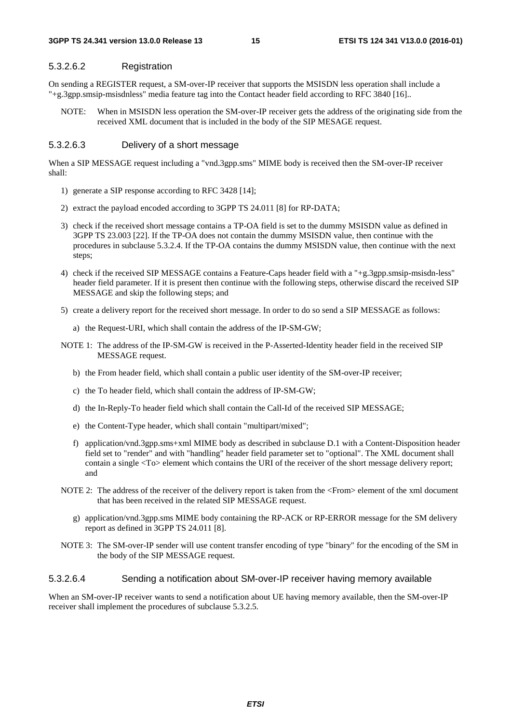#### 5.3.2.6.2 Registration

On sending a REGISTER request, a SM-over-IP receiver that supports the MSISDN less operation shall include a "+g.3gpp.smsip-msisdnless" media feature tag into the Contact header field according to RFC 3840 [16]..

NOTE: When in MSISDN less operation the SM-over-IP receiver gets the address of the originating side from the received XML document that is included in the body of the SIP MESAGE request.

### 5.3.2.6.3 Delivery of a short message

When a SIP MESSAGE request including a "vnd.3gpp.sms" MIME body is received then the SM-over-IP receiver shall:

- 1) generate a SIP response according to RFC 3428 [14];
- 2) extract the payload encoded according to 3GPP TS 24.011 [8] for RP-DATA;
- 3) check if the received short message contains a TP-OA field is set to the dummy MSISDN value as defined in 3GPP TS 23.003 [22]. If the TP-OA does not contain the dummy MSISDN value, then continue with the procedures in subclause 5.3.2.4. If the TP-OA contains the dummy MSISDN value, then continue with the next steps;
- 4) check if the received SIP MESSAGE contains a Feature-Caps header field with a "+g.3gpp.smsip-msisdn-less" header field parameter. If it is present then continue with the following steps, otherwise discard the received SIP MESSAGE and skip the following steps; and
- 5) create a delivery report for the received short message. In order to do so send a SIP MESSAGE as follows:
	- a) the Request-URI, which shall contain the address of the IP-SM-GW;
- NOTE 1: The address of the IP-SM-GW is received in the P-Asserted-Identity header field in the received SIP MESSAGE request.
	- b) the From header field, which shall contain a public user identity of the SM-over-IP receiver;
	- c) the To header field, which shall contain the address of IP-SM-GW;
	- d) the In-Reply-To header field which shall contain the Call-Id of the received SIP MESSAGE;
	- e) the Content-Type header, which shall contain "multipart/mixed";
	- f) application/vnd.3gpp.sms+xml MIME body as described in subclause D.1 with a Content-Disposition header field set to "render" and with "handling" header field parameter set to "optional". The XML document shall contain a single <To> element which contains the URI of the receiver of the short message delivery report; and
- NOTE 2: The address of the receiver of the delivery report is taken from the <From> element of the xml document that has been received in the related SIP MESSAGE request.
	- g) application/vnd.3gpp.sms MIME body containing the RP-ACK or RP-ERROR message for the SM delivery report as defined in 3GPP TS 24.011 [8].
- NOTE 3: The SM-over-IP sender will use content transfer encoding of type "binary" for the encoding of the SM in the body of the SIP MESSAGE request.

#### 5.3.2.6.4 Sending a notification about SM-over-IP receiver having memory available

When an SM-over-IP receiver wants to send a notification about UE having memory available, then the SM-over-IP receiver shall implement the procedures of subclause 5.3.2.5.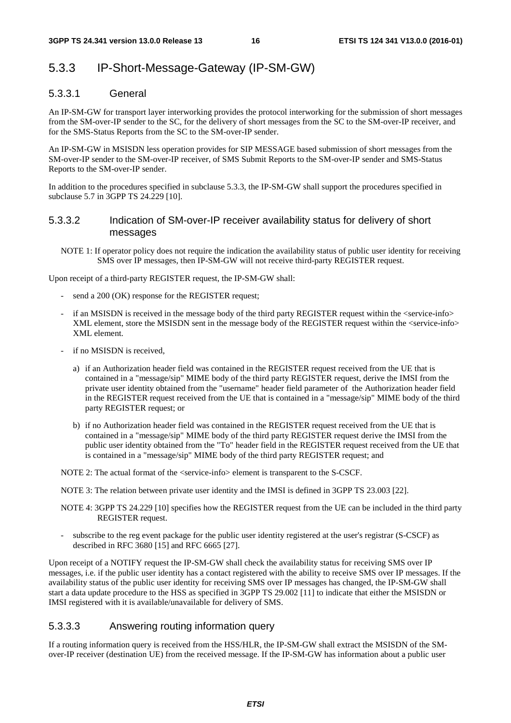## 5.3.3 IP-Short-Message-Gateway (IP-SM-GW)

### 5.3.3.1 General

An IP-SM-GW for transport layer interworking provides the protocol interworking for the submission of short messages from the SM-over-IP sender to the SC, for the delivery of short messages from the SC to the SM-over-IP receiver, and for the SMS-Status Reports from the SC to the SM-over-IP sender.

An IP-SM-GW in MSISDN less operation provides for SIP MESSAGE based submission of short messages from the SM-over-IP sender to the SM-over-IP receiver, of SMS Submit Reports to the SM-over-IP sender and SMS-Status Reports to the SM-over-IP sender.

In addition to the procedures specified in subclause 5.3.3, the IP-SM-GW shall support the procedures specified in subclause 5.7 in 3GPP TS 24.229 [10].

### 5.3.3.2 Indication of SM-over-IP receiver availability status for delivery of short messages

NOTE 1: If operator policy does not require the indication the availability status of public user identity for receiving SMS over IP messages, then IP-SM-GW will not receive third-party REGISTER request.

Upon receipt of a third-party REGISTER request, the IP-SM-GW shall:

- send a 200 (OK) response for the REGISTER request;
- if an MSISDN is received in the message body of the third party REGISTER request within the <service-info> XML element, store the MSISDN sent in the message body of the REGISTER request within the <service-info> XML element.
- if no MSISDN is received,
	- a) if an Authorization header field was contained in the REGISTER request received from the UE that is contained in a "message/sip" MIME body of the third party REGISTER request, derive the IMSI from the private user identity obtained from the "username" header field parameter of the Authorization header field in the REGISTER request received from the UE that is contained in a "message/sip" MIME body of the third party REGISTER request; or
	- b) if no Authorization header field was contained in the REGISTER request received from the UE that is contained in a "message/sip" MIME body of the third party REGISTER request derive the IMSI from the public user identity obtained from the "To" header field in the REGISTER request received from the UE that is contained in a "message/sip" MIME body of the third party REGISTER request; and

NOTE 2: The actual format of the <service-info> element is transparent to the S-CSCF.

NOTE 3: The relation between private user identity and the IMSI is defined in 3GPP TS 23.003 [22].

- NOTE 4: 3GPP TS 24.229 [10] specifies how the REGISTER request from the UE can be included in the third party REGISTER request.
- subscribe to the reg event package for the public user identity registered at the user's registrar (S-CSCF) as described in RFC 3680 [15] and RFC 6665 [27].

Upon receipt of a NOTIFY request the IP-SM-GW shall check the availability status for receiving SMS over IP messages, i.e. if the public user identity has a contact registered with the ability to receive SMS over IP messages. If the availability status of the public user identity for receiving SMS over IP messages has changed, the IP-SM-GW shall start a data update procedure to the HSS as specified in 3GPP TS 29.002 [11] to indicate that either the MSISDN or IMSI registered with it is available/unavailable for delivery of SMS.

### 5.3.3.3 Answering routing information query

If a routing information query is received from the HSS/HLR, the IP-SM-GW shall extract the MSISDN of the SMover-IP receiver (destination UE) from the received message. If the IP-SM-GW has information about a public user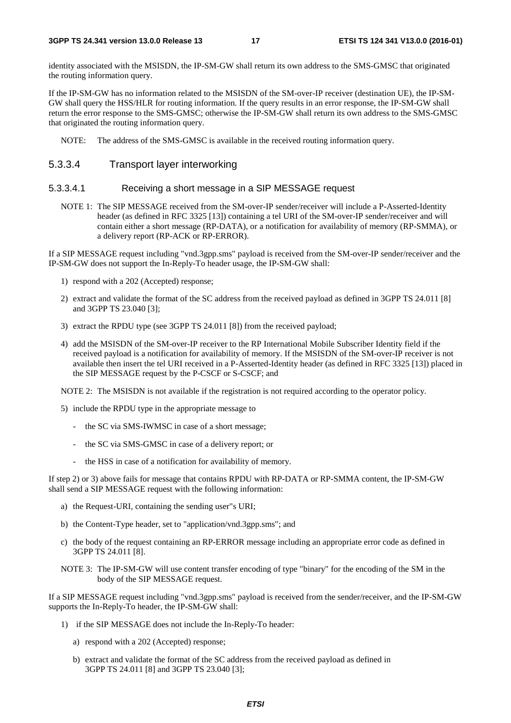identity associated with the MSISDN, the IP-SM-GW shall return its own address to the SMS-GMSC that originated the routing information query.

If the IP-SM-GW has no information related to the MSISDN of the SM-over-IP receiver (destination UE), the IP-SM-GW shall query the HSS/HLR for routing information. If the query results in an error response, the IP-SM-GW shall return the error response to the SMS-GMSC; otherwise the IP-SM-GW shall return its own address to the SMS-GMSC that originated the routing information query.

NOTE: The address of the SMS-GMSC is available in the received routing information query.

### 5.3.3.4 Transport layer interworking

#### 5.3.3.4.1 Receiving a short message in a SIP MESSAGE request

NOTE 1: The SIP MESSAGE received from the SM-over-IP sender/receiver will include a P-Asserted-Identity header (as defined in RFC 3325 [13]) containing a tel URI of the SM-over-IP sender/receiver and will contain either a short message (RP-DATA), or a notification for availability of memory (RP-SMMA), or a delivery report (RP-ACK or RP-ERROR).

If a SIP MESSAGE request including "vnd.3gpp.sms" payload is received from the SM-over-IP sender/receiver and the IP-SM-GW does not support the In-Reply-To header usage, the IP-SM-GW shall:

- 1) respond with a 202 (Accepted) response;
- 2) extract and validate the format of the SC address from the received payload as defined in 3GPP TS 24.011 [8] and 3GPP TS 23.040 [3];
- 3) extract the RPDU type (see 3GPP TS 24.011 [8]) from the received payload;
- 4) add the MSISDN of the SM-over-IP receiver to the RP International Mobile Subscriber Identity field if the received payload is a notification for availability of memory. If the MSISDN of the SM-over-IP receiver is not available then insert the tel URI received in a P-Asserted-Identity header (as defined in RFC 3325 [13]) placed in the SIP MESSAGE request by the P-CSCF or S-CSCF; and

NOTE 2: The MSISDN is not available if the registration is not required according to the operator policy.

- 5) include the RPDU type in the appropriate message to
	- the SC via SMS-IWMSC in case of a short message;
	- the SC via SMS-GMSC in case of a delivery report; or
	- the HSS in case of a notification for availability of memory.

If step 2) or 3) above fails for message that contains RPDU with RP-DATA or RP-SMMA content, the IP-SM-GW shall send a SIP MESSAGE request with the following information:

- a) the Request-URI, containing the sending user"s URI;
- b) the Content-Type header, set to "application/vnd.3gpp.sms"; and
- c) the body of the request containing an RP-ERROR message including an appropriate error code as defined in 3GPP TS 24.011 [8].
- NOTE 3: The IP-SM-GW will use content transfer encoding of type "binary" for the encoding of the SM in the body of the SIP MESSAGE request.

If a SIP MESSAGE request including "vnd.3gpp.sms" payload is received from the sender/receiver, and the IP-SM-GW supports the In-Reply-To header, the IP-SM-GW shall:

- 1) if the SIP MESSAGE does not include the In-Reply-To header:
	- a) respond with a 202 (Accepted) response;
	- b) extract and validate the format of the SC address from the received payload as defined in 3GPP TS 24.011 [8] and 3GPP TS 23.040 [3];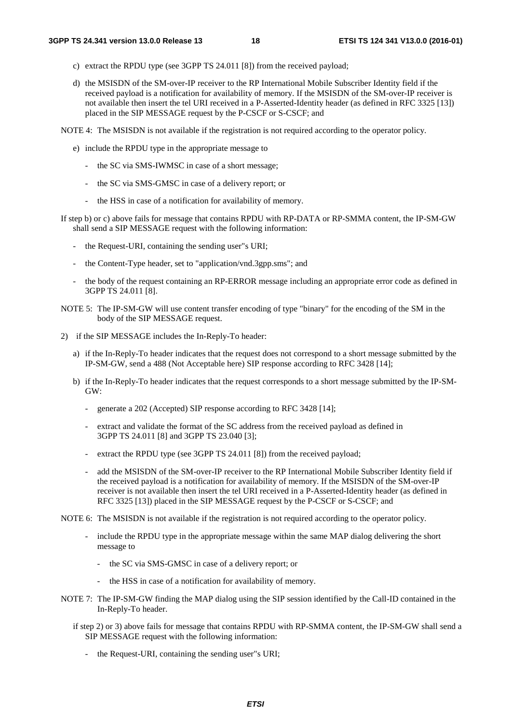- c) extract the RPDU type (see 3GPP TS 24.011 [8]) from the received payload;
- d) the MSISDN of the SM-over-IP receiver to the RP International Mobile Subscriber Identity field if the received payload is a notification for availability of memory. If the MSISDN of the SM-over-IP receiver is not available then insert the tel URI received in a P-Asserted-Identity header (as defined in RFC 3325 [13]) placed in the SIP MESSAGE request by the P-CSCF or S-CSCF; and

NOTE 4: The MSISDN is not available if the registration is not required according to the operator policy.

- e) include the RPDU type in the appropriate message to
	- the SC via SMS-IWMSC in case of a short message;
	- the SC via SMS-GMSC in case of a delivery report; or
	- the HSS in case of a notification for availability of memory.
- If step b) or c) above fails for message that contains RPDU with RP-DATA or RP-SMMA content, the IP-SM-GW shall send a SIP MESSAGE request with the following information:
	- the Request-URI, containing the sending user"s URI;
	- the Content-Type header, set to "application/vnd.3gpp.sms"; and
	- the body of the request containing an RP-ERROR message including an appropriate error code as defined in 3GPP TS 24.011 [8].
- NOTE 5: The IP-SM-GW will use content transfer encoding of type "binary" for the encoding of the SM in the body of the SIP MESSAGE request.
- 2) if the SIP MESSAGE includes the In-Reply-To header:
	- a) if the In-Reply-To header indicates that the request does not correspond to a short message submitted by the IP-SM-GW, send a 488 (Not Acceptable here) SIP response according to RFC 3428 [14];
	- b) if the In-Reply-To header indicates that the request corresponds to a short message submitted by the IP-SM-GW:
		- generate a 202 (Accepted) SIP response according to RFC 3428 [14];
		- extract and validate the format of the SC address from the received payload as defined in 3GPP TS 24.011 [8] and 3GPP TS 23.040 [3];
		- extract the RPDU type (see 3GPP TS 24.011 [8]) from the received payload;
		- add the MSISDN of the SM-over-IP receiver to the RP International Mobile Subscriber Identity field if the received payload is a notification for availability of memory. If the MSISDN of the SM-over-IP receiver is not available then insert the tel URI received in a P-Asserted-Identity header (as defined in RFC 3325 [13]) placed in the SIP MESSAGE request by the P-CSCF or S-CSCF; and
- NOTE 6: The MSISDN is not available if the registration is not required according to the operator policy.
	- include the RPDU type in the appropriate message within the same MAP dialog delivering the short message to
		- the SC via SMS-GMSC in case of a delivery report; or
		- the HSS in case of a notification for availability of memory.
- NOTE 7: The IP-SM-GW finding the MAP dialog using the SIP session identified by the Call-ID contained in the In-Reply-To header.
	- if step 2) or 3) above fails for message that contains RPDU with RP-SMMA content, the IP-SM-GW shall send a SIP MESSAGE request with the following information:
		- the Request-URI, containing the sending user"s URI;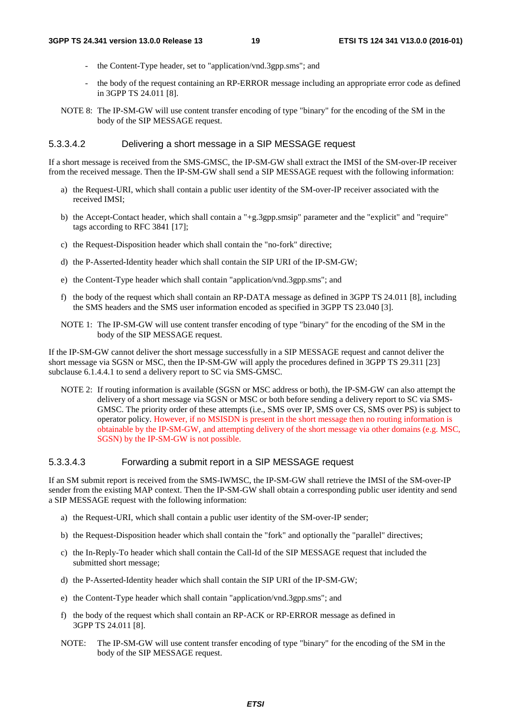- the Content-Type header, set to "application/vnd.3gpp.sms"; and
- the body of the request containing an RP-ERROR message including an appropriate error code as defined in 3GPP TS 24.011 [8].
- NOTE 8: The IP-SM-GW will use content transfer encoding of type "binary" for the encoding of the SM in the body of the SIP MESSAGE request.

#### 5.3.3.4.2 Delivering a short message in a SIP MESSAGE request

If a short message is received from the SMS-GMSC, the IP-SM-GW shall extract the IMSI of the SM-over-IP receiver from the received message. Then the IP-SM-GW shall send a SIP MESSAGE request with the following information:

- a) the Request-URI, which shall contain a public user identity of the SM-over-IP receiver associated with the received IMSI;
- b) the Accept-Contact header, which shall contain a "+g.3gpp.smsip" parameter and the "explicit" and "require" tags according to RFC 3841 [17];
- c) the Request-Disposition header which shall contain the "no-fork" directive;
- d) the P-Asserted-Identity header which shall contain the SIP URI of the IP-SM-GW;
- e) the Content-Type header which shall contain "application/vnd.3gpp.sms"; and
- f) the body of the request which shall contain an RP-DATA message as defined in 3GPP TS 24.011 [8], including the SMS headers and the SMS user information encoded as specified in 3GPP TS 23.040 [3].
- NOTE 1: The IP-SM-GW will use content transfer encoding of type "binary" for the encoding of the SM in the body of the SIP MESSAGE request.

If the IP-SM-GW cannot deliver the short message successfully in a SIP MESSAGE request and cannot deliver the short message via SGSN or MSC, then the IP-SM-GW will apply the procedures defined in 3GPP TS 29.311 [23] subclause 6.1.4.4.1 to send a delivery report to SC via SMS-GMSC.

NOTE 2: If routing information is available (SGSN or MSC address or both), the IP-SM-GW can also attempt the delivery of a short message via SGSN or MSC or both before sending a delivery report to SC via SMS-GMSC. The priority order of these attempts (i.e., SMS over IP, SMS over CS, SMS over PS) is subject to operator policy. However, if no MSISDN is present in the short message then no routing information is obtainable by the IP-SM-GW, and attempting delivery of the short message via other domains (e.g. MSC, SGSN) by the IP-SM-GW is not possible.

#### 5.3.3.4.3 Forwarding a submit report in a SIP MESSAGE request

If an SM submit report is received from the SMS-IWMSC, the IP-SM-GW shall retrieve the IMSI of the SM-over-IP sender from the existing MAP context. Then the IP-SM-GW shall obtain a corresponding public user identity and send a SIP MESSAGE request with the following information:

- a) the Request-URI, which shall contain a public user identity of the SM-over-IP sender;
- b) the Request-Disposition header which shall contain the "fork" and optionally the "parallel" directives;
- c) the In-Reply-To header which shall contain the Call-Id of the SIP MESSAGE request that included the submitted short message;
- d) the P-Asserted-Identity header which shall contain the SIP URI of the IP-SM-GW;
- e) the Content-Type header which shall contain "application/vnd.3gpp.sms"; and
- f) the body of the request which shall contain an RP-ACK or RP-ERROR message as defined in 3GPP TS 24.011 [8].
- NOTE: The IP-SM-GW will use content transfer encoding of type "binary" for the encoding of the SM in the body of the SIP MESSAGE request.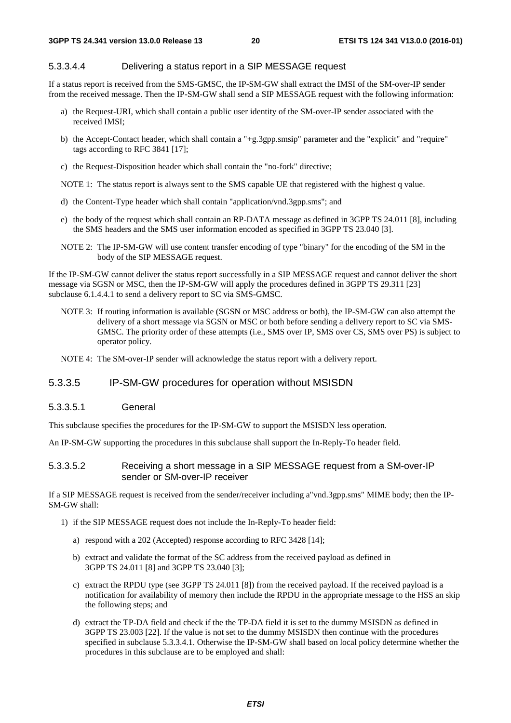#### 5.3.3.4.4 Delivering a status report in a SIP MESSAGE request

If a status report is received from the SMS-GMSC, the IP-SM-GW shall extract the IMSI of the SM-over-IP sender from the received message. Then the IP-SM-GW shall send a SIP MESSAGE request with the following information:

- a) the Request-URI, which shall contain a public user identity of the SM-over-IP sender associated with the received IMSI;
- b) the Accept-Contact header, which shall contain a "+g.3gpp.smsip" parameter and the "explicit" and "require" tags according to RFC 3841 [17];
- c) the Request-Disposition header which shall contain the "no-fork" directive;

NOTE 1: The status report is always sent to the SMS capable UE that registered with the highest q value.

- d) the Content-Type header which shall contain "application/vnd.3gpp.sms"; and
- e) the body of the request which shall contain an RP-DATA message as defined in 3GPP TS 24.011 [8], including the SMS headers and the SMS user information encoded as specified in 3GPP TS 23.040 [3].
- NOTE 2: The IP-SM-GW will use content transfer encoding of type "binary" for the encoding of the SM in the body of the SIP MESSAGE request.

If the IP-SM-GW cannot deliver the status report successfully in a SIP MESSAGE request and cannot deliver the short message via SGSN or MSC, then the IP-SM-GW will apply the procedures defined in 3GPP TS 29.311 [23] subclause 6.1.4.4.1 to send a delivery report to SC via SMS-GMSC.

- NOTE 3: If routing information is available (SGSN or MSC address or both), the IP-SM-GW can also attempt the delivery of a short message via SGSN or MSC or both before sending a delivery report to SC via SMS-GMSC. The priority order of these attempts (i.e., SMS over IP, SMS over CS, SMS over PS) is subject to operator policy.
- NOTE 4: The SM-over-IP sender will acknowledge the status report with a delivery report.

### 5.3.3.5 IP-SM-GW procedures for operation without MSISDN

#### 5.3.3.5.1 General

This subclause specifies the procedures for the IP-SM-GW to support the MSISDN less operation.

An IP-SM-GW supporting the procedures in this subclause shall support the In-Reply-To header field.

#### 5.3.3.5.2 Receiving a short message in a SIP MESSAGE request from a SM-over-IP sender or SM-over-IP receiver

If a SIP MESSAGE request is received from the sender/receiver including a"vnd.3gpp.sms" MIME body; then the IP-SM-GW shall:

- 1) if the SIP MESSAGE request does not include the In-Reply-To header field:
	- a) respond with a 202 (Accepted) response according to RFC 3428 [14];
	- b) extract and validate the format of the SC address from the received payload as defined in 3GPP TS 24.011 [8] and 3GPP TS 23.040 [3];
	- c) extract the RPDU type (see 3GPP TS 24.011 [8]) from the received payload. If the received payload is a notification for availability of memory then include the RPDU in the appropriate message to the HSS an skip the following steps; and
	- d) extract the TP-DA field and check if the the TP-DA field it is set to the dummy MSISDN as defined in 3GPP TS 23.003 [22]. If the value is not set to the dummy MSISDN then continue with the procedures specified in subclause 5.3.3.4.1. Otherwise the IP-SM-GW shall based on local policy determine whether the procedures in this subclause are to be employed and shall: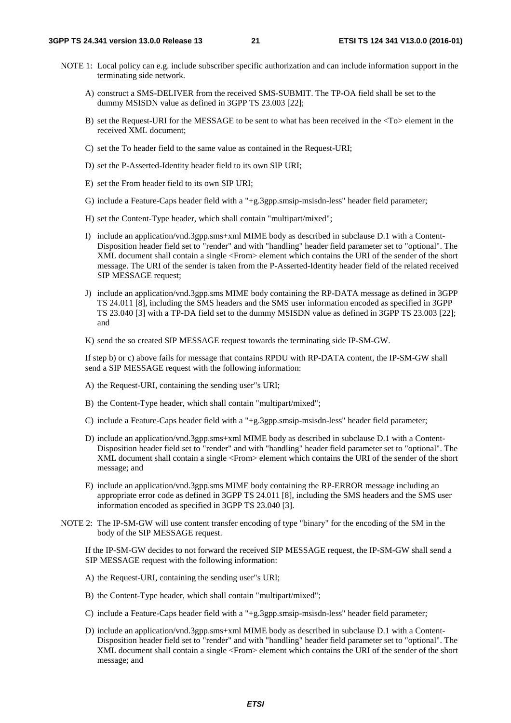- NOTE 1: Local policy can e.g. include subscriber specific authorization and can include information support in the terminating side network.
	- A) construct a SMS-DELIVER from the received SMS-SUBMIT. The TP-OA field shall be set to the dummy MSISDN value as defined in 3GPP TS 23.003 [22];
	- B) set the Request-URI for the MESSAGE to be sent to what has been received in the <To> element in the received XML document;
	- C) set the To header field to the same value as contained in the Request-URI;
	- D) set the P-Asserted-Identity header field to its own SIP URI;
	- E) set the From header field to its own SIP URI;
	- G) include a Feature-Caps header field with a "+g.3gpp.smsip-msisdn-less" header field parameter;
	- H) set the Content-Type header, which shall contain "multipart/mixed";
	- I) include an application/vnd.3gpp.sms+xml MIME body as described in subclause D.1 with a Content-Disposition header field set to "render" and with "handling" header field parameter set to "optional". The XML document shall contain a single <From> element which contains the URI of the sender of the short message. The URI of the sender is taken from the P-Asserted-Identity header field of the related received SIP MESSAGE request;
	- J) include an application/vnd.3gpp.sms MIME body containing the RP-DATA message as defined in 3GPP TS 24.011 [8], including the SMS headers and the SMS user information encoded as specified in 3GPP TS 23.040 [3] with a TP-DA field set to the dummy MSISDN value as defined in 3GPP TS 23.003 [22]; and
	- K) send the so created SIP MESSAGE request towards the terminating side IP-SM-GW.

 If step b) or c) above fails for message that contains RPDU with RP-DATA content, the IP-SM-GW shall send a SIP MESSAGE request with the following information:

- A) the Request-URI, containing the sending user"s URI;
- B) the Content-Type header, which shall contain "multipart/mixed";
- C) include a Feature-Caps header field with a "+g.3gpp.smsip-msisdn-less" header field parameter;
- D) include an application/vnd.3gpp.sms+xml MIME body as described in subclause D.1 with a Content-Disposition header field set to "render" and with "handling" header field parameter set to "optional". The XML document shall contain a single <From> element which contains the URI of the sender of the short message; and
- E) include an application/vnd.3gpp.sms MIME body containing the RP-ERROR message including an appropriate error code as defined in 3GPP TS 24.011 [8], including the SMS headers and the SMS user information encoded as specified in 3GPP TS 23.040 [3].
- NOTE 2: The IP-SM-GW will use content transfer encoding of type "binary" for the encoding of the SM in the body of the SIP MESSAGE request.

 If the IP-SM-GW decides to not forward the received SIP MESSAGE request, the IP-SM-GW shall send a SIP MESSAGE request with the following information:

- A) the Request-URI, containing the sending user"s URI;
- B) the Content-Type header, which shall contain "multipart/mixed";
- C) include a Feature-Caps header field with a "+g.3gpp.smsip-msisdn-less" header field parameter;
- D) include an application/vnd.3gpp.sms+xml MIME body as described in subclause D.1 with a Content-Disposition header field set to "render" and with "handling" header field parameter set to "optional". The XML document shall contain a single <From> element which contains the URI of the sender of the short message; and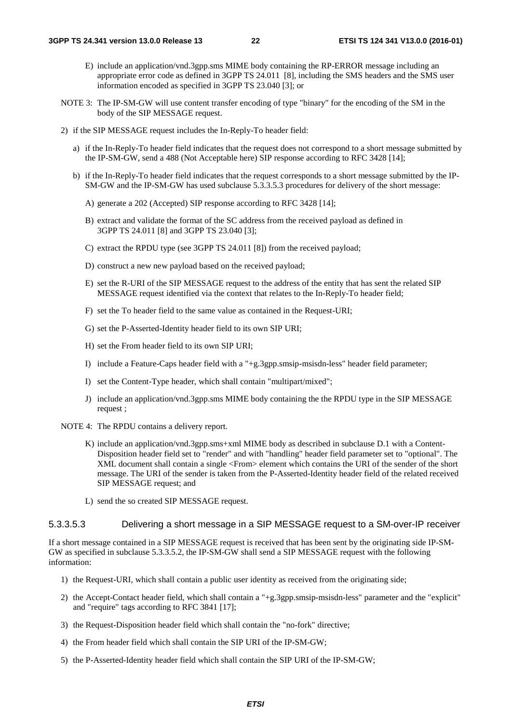- E) include an application/vnd.3gpp.sms MIME body containing the RP-ERROR message including an appropriate error code as defined in 3GPP TS 24.011 [8], including the SMS headers and the SMS user information encoded as specified in 3GPP TS 23.040 [3]; or
- NOTE 3: The IP-SM-GW will use content transfer encoding of type "binary" for the encoding of the SM in the body of the SIP MESSAGE request.
- 2) if the SIP MESSAGE request includes the In-Reply-To header field:
	- a) if the In-Reply-To header field indicates that the request does not correspond to a short message submitted by the IP-SM-GW, send a 488 (Not Acceptable here) SIP response according to RFC 3428 [14];
	- b) if the In-Reply-To header field indicates that the request corresponds to a short message submitted by the IP-SM-GW and the IP-SM-GW has used subclause 5.3.3.5.3 procedures for delivery of the short message:
		- A) generate a 202 (Accepted) SIP response according to RFC 3428 [14];
		- B) extract and validate the format of the SC address from the received payload as defined in 3GPP TS 24.011 [8] and 3GPP TS 23.040 [3];
		- C) extract the RPDU type (see 3GPP TS 24.011 [8]) from the received payload;
		- D) construct a new new payload based on the received payload;
		- E) set the R-URI of the SIP MESSAGE request to the address of the entity that has sent the related SIP MESSAGE request identified via the context that relates to the In-Reply-To header field;
		- F) set the To header field to the same value as contained in the Request-URI;
		- G) set the P-Asserted-Identity header field to its own SIP URI;
		- H) set the From header field to its own SIP URI;
		- I) include a Feature-Caps header field with a "+g.3gpp.smsip-msisdn-less" header field parameter;
		- I) set the Content-Type header, which shall contain "multipart/mixed";
		- J) include an application/vnd.3gpp.sms MIME body containing the the RPDU type in the SIP MESSAGE request ;
- NOTE 4: The RPDU contains a delivery report.
	- K) include an application/vnd.3gpp.sms+xml MIME body as described in subclause D.1 with a Content-Disposition header field set to "render" and with "handling" header field parameter set to "optional". The XML document shall contain a single <From> element which contains the URI of the sender of the short message. The URI of the sender is taken from the P-Asserted-Identity header field of the related received SIP MESSAGE request; and
	- L) send the so created SIP MESSAGE request.

### 5.3.3.5.3 Delivering a short message in a SIP MESSAGE request to a SM-over-IP receiver

If a short message contained in a SIP MESSAGE request is received that has been sent by the originating side IP-SM-GW as specified in subclause 5.3.3.5.2, the IP-SM-GW shall send a SIP MESSAGE request with the following information:

- 1) the Request-URI, which shall contain a public user identity as received from the originating side;
- 2) the Accept-Contact header field, which shall contain a "+g.3gpp.smsip-msisdn-less" parameter and the "explicit" and "require" tags according to RFC 3841 [17];
- 3) the Request-Disposition header field which shall contain the "no-fork" directive;
- 4) the From header field which shall contain the SIP URI of the IP-SM-GW;
- 5) the P-Asserted-Identity header field which shall contain the SIP URI of the IP-SM-GW;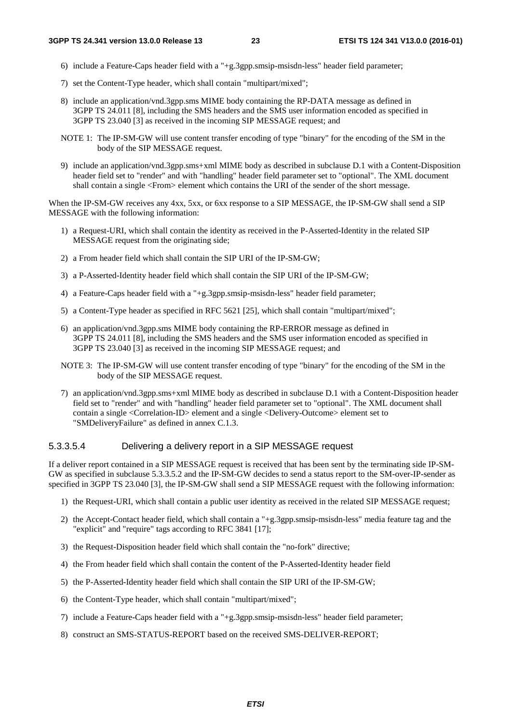- 6) include a Feature-Caps header field with a "+g.3gpp.smsip-msisdn-less" header field parameter;
- 7) set the Content-Type header, which shall contain "multipart/mixed";
- 8) include an application/vnd.3gpp.sms MIME body containing the RP-DATA message as defined in 3GPP TS 24.011 [8], including the SMS headers and the SMS user information encoded as specified in 3GPP TS 23.040 [3] as received in the incoming SIP MESSAGE request; and
- NOTE 1: The IP-SM-GW will use content transfer encoding of type "binary" for the encoding of the SM in the body of the SIP MESSAGE request.
- 9) include an application/vnd.3gpp.sms+xml MIME body as described in subclause D.1 with a Content-Disposition header field set to "render" and with "handling" header field parameter set to "optional". The XML document shall contain a single <From> element which contains the URI of the sender of the short message.

When the IP-SM-GW receives any 4xx, 5xx, or 6xx response to a SIP MESSAGE, the IP-SM-GW shall send a SIP MESSAGE with the following information:

- 1) a Request-URI, which shall contain the identity as received in the P-Asserted-Identity in the related SIP MESSAGE request from the originating side;
- 2) a From header field which shall contain the SIP URI of the IP-SM-GW;
- 3) a P-Asserted-Identity header field which shall contain the SIP URI of the IP-SM-GW;
- 4) a Feature-Caps header field with a "+g.3gpp.smsip-msisdn-less" header field parameter;
- 5) a Content-Type header as specified in RFC 5621 [25], which shall contain "multipart/mixed";
- 6) an application/vnd.3gpp.sms MIME body containing the RP-ERROR message as defined in 3GPP TS 24.011 [8], including the SMS headers and the SMS user information encoded as specified in 3GPP TS 23.040 [3] as received in the incoming SIP MESSAGE request; and
- NOTE 3: The IP-SM-GW will use content transfer encoding of type "binary" for the encoding of the SM in the body of the SIP MESSAGE request.
- 7) an application/vnd.3gpp.sms+xml MIME body as described in subclause D.1 with a Content-Disposition header field set to "render" and with "handling" header field parameter set to "optional". The XML document shall contain a single <Correlation-ID> element and a single <Delivery-Outcome> element set to "SMDeliveryFailure" as defined in annex C.1.3.

### 5.3.3.5.4 Delivering a delivery report in a SIP MESSAGE request

If a deliver report contained in a SIP MESSAGE request is received that has been sent by the terminating side IP-SM-GW as specified in subclause 5.3.3.5.2 and the IP-SM-GW decides to send a status report to the SM-over-IP-sender as specified in 3GPP TS 23.040 [3], the IP-SM-GW shall send a SIP MESSAGE request with the following information:

- 1) the Request-URI, which shall contain a public user identity as received in the related SIP MESSAGE request;
- 2) the Accept-Contact header field, which shall contain a "+g.3gpp.smsip-msisdn-less" media feature tag and the "explicit" and "require" tags according to RFC 3841 [17];
- 3) the Request-Disposition header field which shall contain the "no-fork" directive;
- 4) the From header field which shall contain the content of the P-Asserted-Identity header field
- 5) the P-Asserted-Identity header field which shall contain the SIP URI of the IP-SM-GW;
- 6) the Content-Type header, which shall contain "multipart/mixed";
- 7) include a Feature-Caps header field with a "+g.3gpp.smsip-msisdn-less" header field parameter;
- 8) construct an SMS-STATUS-REPORT based on the received SMS-DELIVER-REPORT;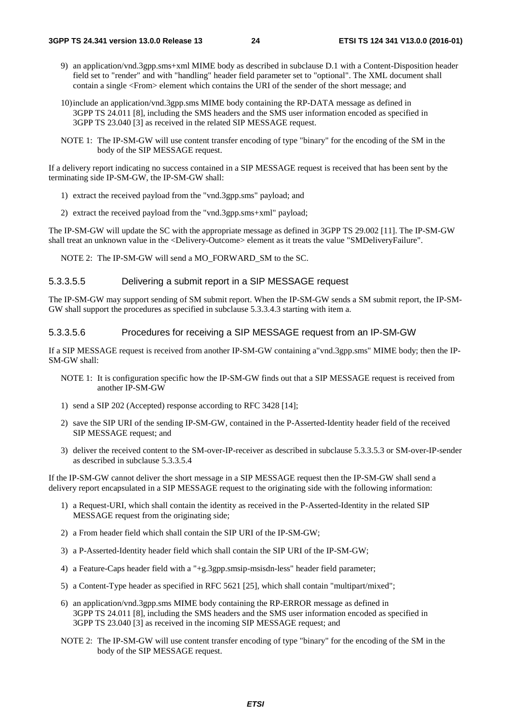- 9) an application/vnd.3gpp.sms+xml MIME body as described in subclause D.1 with a Content-Disposition header field set to "render" and with "handling" header field parameter set to "optional". The XML document shall contain a single <From> element which contains the URI of the sender of the short message; and
- 10) include an application/vnd.3gpp.sms MIME body containing the RP-DATA message as defined in 3GPP TS 24.011 [8], including the SMS headers and the SMS user information encoded as specified in 3GPP TS 23.040 [3] as received in the related SIP MESSAGE request.
- NOTE 1: The IP-SM-GW will use content transfer encoding of type "binary" for the encoding of the SM in the body of the SIP MESSAGE request.

If a delivery report indicating no success contained in a SIP MESSAGE request is received that has been sent by the terminating side IP-SM-GW, the IP-SM-GW shall:

- 1) extract the received payload from the "vnd.3gpp.sms" payload; and
- 2) extract the received payload from the "vnd.3gpp.sms+xml" payload;

The IP-SM-GW will update the SC with the appropriate message as defined in 3GPP TS 29.002 [11]. The IP-SM-GW shall treat an unknown value in the <Delivery-Outcome> element as it treats the value "SMDeliveryFailure".

NOTE 2: The IP-SM-GW will send a MO\_FORWARD\_SM to the SC.

### 5.3.3.5.5 Delivering a submit report in a SIP MESSAGE request

The IP-SM-GW may support sending of SM submit report. When the IP-SM-GW sends a SM submit report, the IP-SM-GW shall support the procedures as specified in subclause 5.3.3.4.3 starting with item a.

### 5.3.3.5.6 Procedures for receiving a SIP MESSAGE request from an IP-SM-GW

If a SIP MESSAGE request is received from another IP-SM-GW containing a"vnd.3gpp.sms" MIME body; then the IP-SM-GW shall:

- NOTE 1: It is configuration specific how the IP-SM-GW finds out that a SIP MESSAGE request is received from another IP-SM-GW
- 1) send a SIP 202 (Accepted) response according to RFC 3428 [14];
- 2) save the SIP URI of the sending IP-SM-GW, contained in the P-Asserted-Identity header field of the received SIP MESSAGE request; and
- 3) deliver the received content to the SM-over-IP-receiver as described in subclause 5.3.3.5.3 or SM-over-IP-sender as described in subclause 5.3.3.5.4

If the IP-SM-GW cannot deliver the short message in a SIP MESSAGE request then the IP-SM-GW shall send a delivery report encapsulated in a SIP MESSAGE request to the originating side with the following information:

- 1) a Request-URI, which shall contain the identity as received in the P-Asserted-Identity in the related SIP MESSAGE request from the originating side;
- 2) a From header field which shall contain the SIP URI of the IP-SM-GW;
- 3) a P-Asserted-Identity header field which shall contain the SIP URI of the IP-SM-GW;
- 4) a Feature-Caps header field with a "+g.3gpp.smsip-msisdn-less" header field parameter;
- 5) a Content-Type header as specified in RFC 5621 [25], which shall contain "multipart/mixed";
- 6) an application/vnd.3gpp.sms MIME body containing the RP-ERROR message as defined in 3GPP TS 24.011 [8], including the SMS headers and the SMS user information encoded as specified in 3GPP TS 23.040 [3] as received in the incoming SIP MESSAGE request; and
- NOTE 2: The IP-SM-GW will use content transfer encoding of type "binary" for the encoding of the SM in the body of the SIP MESSAGE request.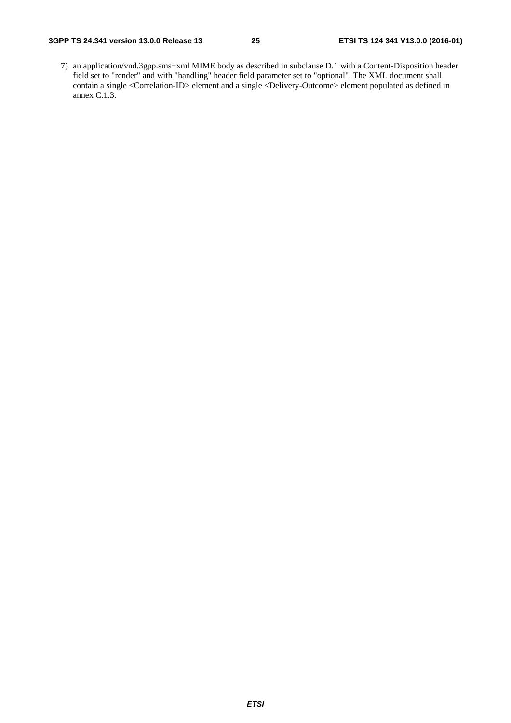7) an application/vnd.3gpp.sms+xml MIME body as described in subclause D.1 with a Content-Disposition header field set to "render" and with "handling" header field parameter set to "optional". The XML document shall contain a single <Correlation-ID> element and a single <Delivery-Outcome> element populated as defined in annex C.1.3.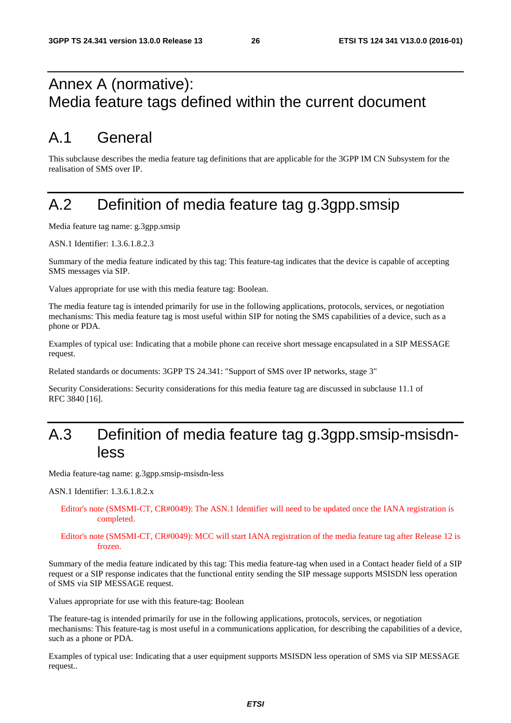## Annex A (normative): Media feature tags defined within the current document

## A.1 General

This subclause describes the media feature tag definitions that are applicable for the 3GPP IM CN Subsystem for the realisation of SMS over IP.

## A.2 Definition of media feature tag g.3gpp.smsip

Media feature tag name: g.3gpp.smsip

ASN.1 Identifier: 1.3.6.1.8.2.3

Summary of the media feature indicated by this tag: This feature-tag indicates that the device is capable of accepting SMS messages via SIP.

Values appropriate for use with this media feature tag: Boolean.

The media feature tag is intended primarily for use in the following applications, protocols, services, or negotiation mechanisms: This media feature tag is most useful within SIP for noting the SMS capabilities of a device, such as a phone or PDA.

Examples of typical use: Indicating that a mobile phone can receive short message encapsulated in a SIP MESSAGE request.

Related standards or documents: 3GPP TS 24.341: "Support of SMS over IP networks, stage 3"

Security Considerations: Security considerations for this media feature tag are discussed in subclause 11.1 of RFC 3840 [16].

## A.3 Definition of media feature tag g.3gpp.smsip-msisdnless

Media feature-tag name: g.3gpp.smsip-msisdn-less

ASN.1 Identifier: 1.3.6.1.8.2.x

Editor's note (SMSMI-CT, CR#0049): The ASN.1 Identifier will need to be updated once the IANA registration is completed.

#### Editor's note (SMSMI-CT, CR#0049): MCC will start IANA registration of the media feature tag after Release 12 is frozen.

Summary of the media feature indicated by this tag: This media feature-tag when used in a Contact header field of a SIP request or a SIP response indicates that the functional entity sending the SIP message supports MSISDN less operation of SMS via SIP MESSAGE request.

Values appropriate for use with this feature-tag: Boolean

The feature-tag is intended primarily for use in the following applications, protocols, services, or negotiation mechanisms: This feature-tag is most useful in a communications application, for describing the capabilities of a device, such as a phone or PDA.

Examples of typical use: Indicating that a user equipment supports MSISDN less operation of SMS via SIP MESSAGE request..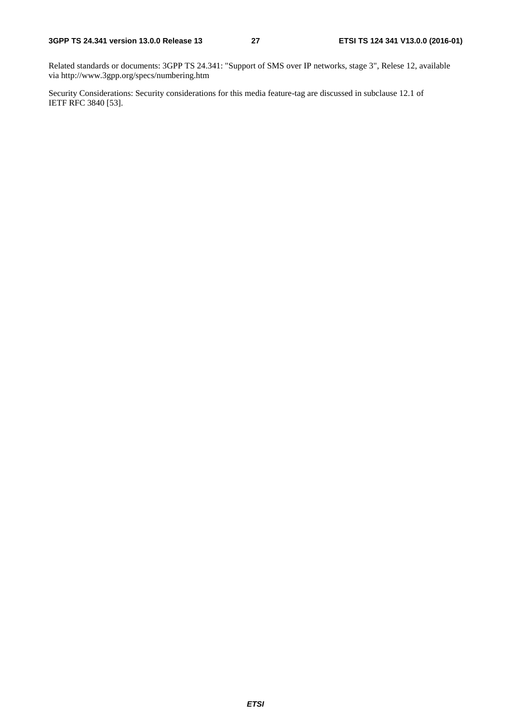Related standards or documents: 3GPP TS 24.341: "Support of SMS over IP networks, stage 3", Relese 12, available via http://www.3gpp.org/specs/numbering.htm

Security Considerations: Security considerations for this media feature-tag are discussed in subclause 12.1 of IETF RFC 3840 [53].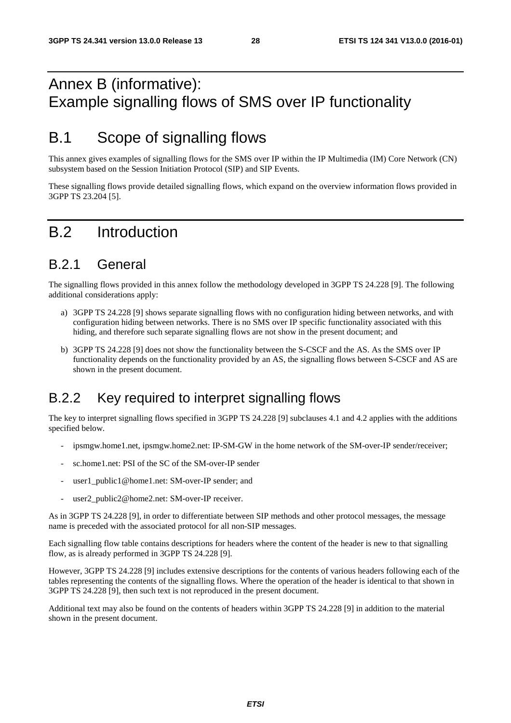## Annex B (informative): Example signalling flows of SMS over IP functionality

## B.1 Scope of signalling flows

This annex gives examples of signalling flows for the SMS over IP within the IP Multimedia (IM) Core Network (CN) subsystem based on the Session Initiation Protocol (SIP) and SIP Events.

These signalling flows provide detailed signalling flows, which expand on the overview information flows provided in 3GPP TS 23.204 [5].

## B.2 Introduction

## B.2.1 General

The signalling flows provided in this annex follow the methodology developed in 3GPP TS 24.228 [9]. The following additional considerations apply:

- a) 3GPP TS 24.228 [9] shows separate signalling flows with no configuration hiding between networks, and with configuration hiding between networks. There is no SMS over IP specific functionality associated with this hiding, and therefore such separate signalling flows are not show in the present document; and
- b) 3GPP TS 24.228 [9] does not show the functionality between the S-CSCF and the AS. As the SMS over IP functionality depends on the functionality provided by an AS, the signalling flows between S-CSCF and AS are shown in the present document.

## B.2.2 Key required to interpret signalling flows

The key to interpret signalling flows specified in 3GPP TS 24.228 [9] subclauses 4.1 and 4.2 applies with the additions specified below.

- ipsmgw.home1.net, ipsmgw.home2.net: IP-SM-GW in the home network of the SM-over-IP sender/receiver;
- sc.home1.net: PSI of the SC of the SM-over-IP sender
- user1\_public1@home1.net: SM-over-IP sender; and
- user2\_public2@home2.net: SM-over-IP receiver.

As in 3GPP TS 24.228 [9], in order to differentiate between SIP methods and other protocol messages, the message name is preceded with the associated protocol for all non-SIP messages.

Each signalling flow table contains descriptions for headers where the content of the header is new to that signalling flow, as is already performed in 3GPP TS 24.228 [9].

However, 3GPP TS 24.228 [9] includes extensive descriptions for the contents of various headers following each of the tables representing the contents of the signalling flows. Where the operation of the header is identical to that shown in 3GPP TS 24.228 [9], then such text is not reproduced in the present document.

Additional text may also be found on the contents of headers within 3GPP TS 24.228 [9] in addition to the material shown in the present document.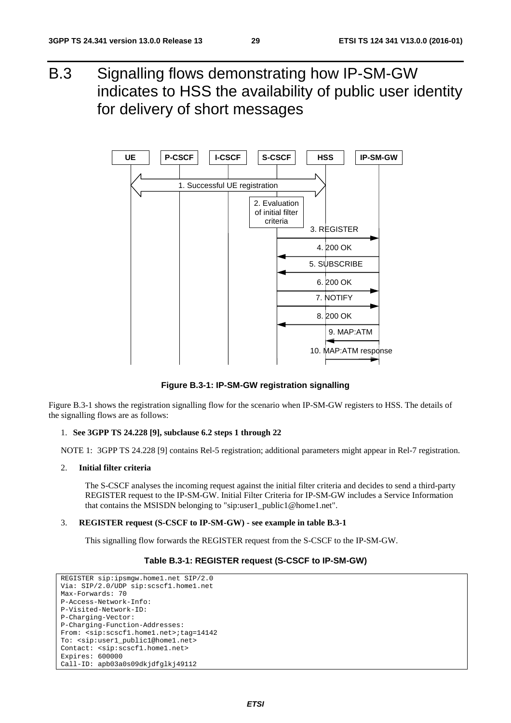B.3 Signalling flows demonstrating how IP-SM-GW indicates to HSS the availability of public user identity for delivery of short messages



**Figure B.3-1: IP-SM-GW registration signalling** 

Figure B.3-1 shows the registration signalling flow for the scenario when IP-SM-GW registers to HSS. The details of the signalling flows are as follows:

#### 1. **See 3GPP TS 24.228 [9], subclause 6.2 steps 1 through 22**

NOTE 1: 3GPP TS 24.228 [9] contains Rel-5 registration; additional parameters might appear in Rel-7 registration.

#### 2. **Initial filter criteria**

 The S-CSCF analyses the incoming request against the initial filter criteria and decides to send a third-party REGISTER request to the IP-SM-GW. Initial Filter Criteria for IP-SM-GW includes a Service Information that contains the MSISDN belonging to "sip:user1\_public1@home1.net".

#### 3. **REGISTER request (S-CSCF to IP-SM-GW) - see example in table B.3-1**

This signalling flow forwards the REGISTER request from the S-CSCF to the IP-SM-GW.

#### **Table B.3-1: REGISTER request (S-CSCF to IP-SM-GW)**

```
REGISTER sip:ipsmgw.home1.net SIP/2.0 
Via: SIP/2.0/UDP sip:scscf1.home1.net 
Max-Forwards: 70 
P-Access-Network-Info: 
P-Visited-Network-ID: 
P-Charging-Vector: 
P-Charging-Function-Addresses: 
From: <sip:scscf1.home1.net>;tag=14142 
To: <sip:user1_public1@home1.net> 
Contact: <sip:scscf1.home1.net> 
Expires: 600000 
Call-ID: apb03a0s09dkjdfglkj49112
```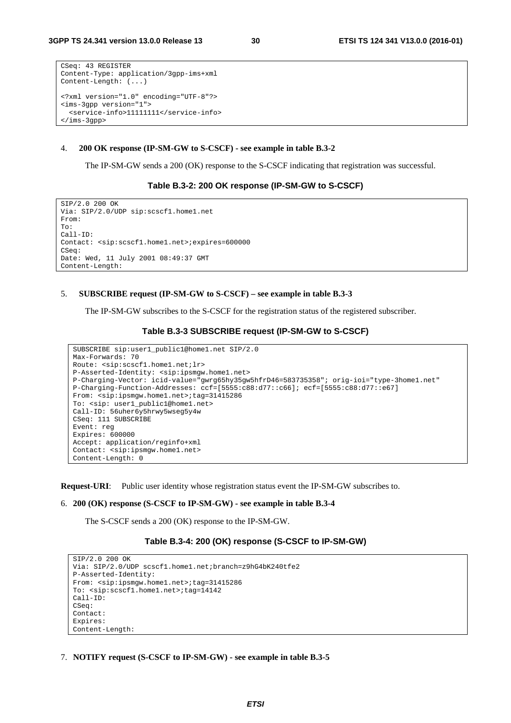```
CSeq: 43 REGISTER 
Content-Type: application/3gpp-ims+xml 
Content-Length: (...) 
<?xml version="1.0" encoding="UTF-8"?> 
<ims-3gpp version="1"> 
   <service-info>11111111</service-info> 
</ims-3gpp>
```
#### 4. **200 OK response (IP-SM-GW to S-CSCF) - see example in table B.3-2**

The IP-SM-GW sends a 200 (OK) response to the S-CSCF indicating that registration was successful.

#### **Table B.3-2: 200 OK response (IP-SM-GW to S-CSCF)**

```
SIP/2.0 200 OK 
Via: SIP/2.0/UDP sip:scscf1.home1.net 
From: 
To: 
Call-ID: 
Contact: <sip:scscf1.home1.net>;expires=600000 
CSeq: 
Date: Wed, 11 July 2001 08:49:37 GMT 
Content-Length:
```
#### 5. **SUBSCRIBE request (IP-SM-GW to S-CSCF) – see example in table B.3-3**

The IP-SM-GW subscribes to the S-CSCF for the registration status of the registered subscriber.

#### **Table B.3-3 SUBSCRIBE request (IP-SM-GW to S-CSCF)**

```
SUBSCRIBE sip:user1_public1@home1.net SIP/2.0 
Max-Forwards: 70 
Route: <sip:scscf1.home1.net;lr> 
P-Asserted-Identity: <sip:ipsmgw.home1.net> 
P-Charging-Vector: icid-value="gwrg65hy35gw5hfrD46=583735358"; orig-ioi="type-3home1.net" 
P-Charging-Function-Addresses: ccf=[5555:c88:d77::c66]; ecf=[5555:c88:d77::e67] 
From: <sip:ipsmgw.home1.net>;tag=31415286
To: <sip: user1_public1@home1.net> 
Call-ID: 56uher6y5hrwy5wseg5y4w 
CSeq: 111 SUBSCRIBE 
Event: reg 
Expires: 600000 
Accept: application/reginfo+xml 
Contact: <sip:ipsmgw.home1.net> 
Content-Length: 0
```
**Request-URI**: Public user identity whose registration status event the IP-SM-GW subscribes to.

#### 6. **200 (OK) response (S-CSCF to IP-SM-GW) - see example in table B.3-4**

The S-CSCF sends a 200 (OK) response to the IP-SM-GW.

#### **Table B.3-4: 200 (OK) response (S-CSCF to IP-SM-GW)**

```
SIP/2.0 200 OK 
Via: SIP/2.0/UDP scscf1.home1.net;branch=z9hG4bK240tfe2 
P-Asserted-Identity: 
From: <sip:ipsmgw.home1.net>;tag=31415286
To: <sip:scscf1.home1.net>;tag=14142 
Call-ID: 
CSeq:
Contact:
Expires: 
Content-Length:
```
7. **NOTIFY request (S-CSCF to IP-SM-GW) - see example in table B.3-5**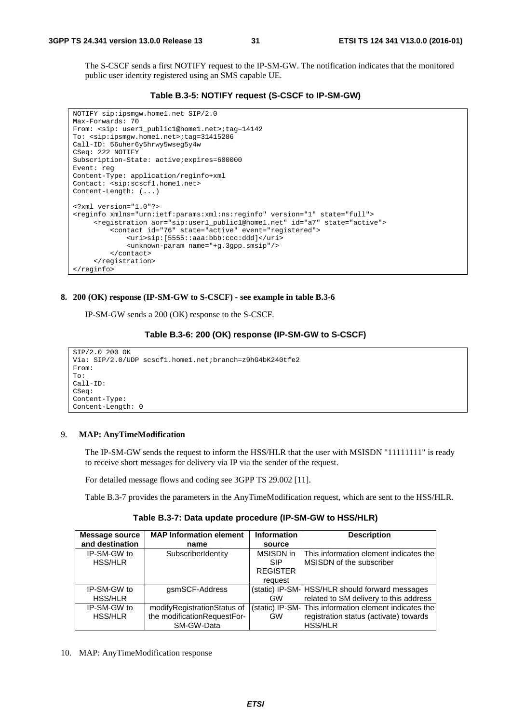The S-CSCF sends a first NOTIFY request to the IP-SM-GW. The notification indicates that the monitored public user identity registered using an SMS capable UE.

**Table B.3-5: NOTIFY request (S-CSCF to IP-SM-GW)** 

```
NOTIFY sip:ipsmgw.home1.net SIP/2.0 
Max-Forwards: 70 
From: <sip: user1_public1@home1.net>;tag=14142 
To: <sip:ipsmgw.home1.net>;tag=31415286 
Call-ID: 56uher6y5hrwy5wseg5y4w 
CSeq: 222 NOTIFY 
Subscription-State: active;expires=600000 
Event: reg 
Content-Type: application/reginfo+xml 
Contact: <sip:scscf1.home1.net> 
Content-Length: (...) 
<?xml version="1.0"?> 
<reginfo xmlns="urn:ietf:params:xml:ns:reginfo" version="1" state="full"> 
      <registration aor="sip:user1_public1@home1.net" id="a7" state="active"> 
          <contact id="76" state="active" event="registered"> 
              <uri>sip:[5555::aaa:bbb:ccc:ddd]</uri> 
              <unknown-param name="+g.3gpp.smsip"/> 
          </contact> 
      </registration> 
</reginfo>
```
#### **8. 200 (OK) response (IP-SM-GW to S-CSCF) - see example in table B.3-6**

IP-SM-GW sends a 200 (OK) response to the S-CSCF.

#### **Table B.3-6: 200 (OK) response (IP-SM-GW to S-CSCF)**

```
SIP/2.0 200 OK 
Via: SIP/2.0/UDP scscf1.home1.net;branch=z9hG4bK240tfe2 
From: 
To: 
Call-ID: 
CSeq:
Content-Type: 
Content-Length: 0
```
#### 9. **MAP: AnyTimeModification**

 The IP-SM-GW sends the request to inform the HSS/HLR that the user with MSISDN "11111111" is ready to receive short messages for delivery via IP via the sender of the request.

For detailed message flows and coding see 3GPP TS 29.002 [11].

Table B.3-7 provides the parameters in the AnyTimeModification request, which are sent to the HSS/HLR.

**Table B.3-7: Data update procedure (IP-SM-GW to HSS/HLR)** 

| <b>Message source</b><br>and destination | <b>MAP Information element</b><br>name                                   | <b>Information</b><br>source                          | <b>Description</b>                                                                                                |
|------------------------------------------|--------------------------------------------------------------------------|-------------------------------------------------------|-------------------------------------------------------------------------------------------------------------------|
| IP-SM-GW to<br><b>HSS/HLR</b>            | SubscriberIdentity                                                       | MSISDN in<br><b>SIP</b><br><b>REGISTER</b><br>request | This information element indicates the<br><b>IMSISDN of the subscriber</b>                                        |
| IP-SM-GW to<br><b>HSS/HLR</b>            | gsmSCF-Address                                                           | <b>GW</b>                                             | (static) IP-SM- HSS/HLR should forward messages<br>related to SM delivery to this address                         |
| IP-SM-GW to<br><b>HSS/HLR</b>            | modifyRegistrationStatus of<br>the modificationRequestFor-<br>SM-GW-Data | <b>GW</b>                                             | (static) IP-SM-This information element indicates the<br>registration status (activate) towards<br><b>HSS/HLR</b> |

10. MAP: AnyTimeModification response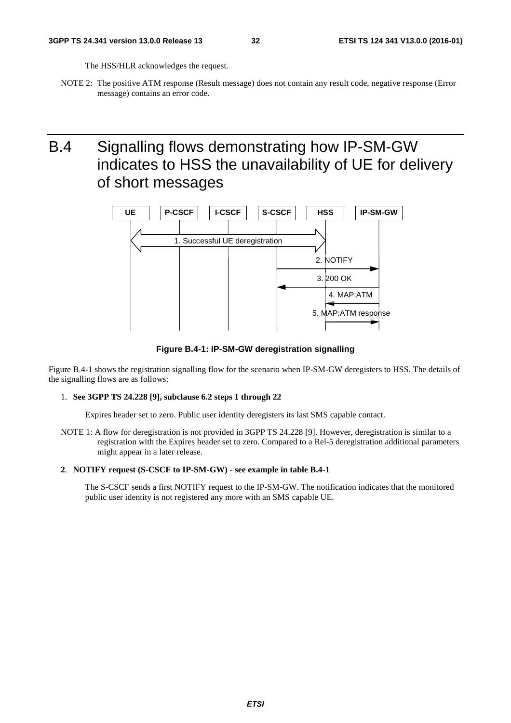The HSS/HLR acknowledges the request.

NOTE 2: The positive ATM response (Result message) does not contain any result code, negative response (Error message) contains an error code.

## B.4 Signalling flows demonstrating how IP-SM-GW indicates to HSS the unavailability of UE for delivery of short messages



**Figure B.4-1: IP-SM-GW deregistration signalling** 

Figure B.4-1 shows the registration signalling flow for the scenario when IP-SM-GW deregisters to HSS. The details of the signalling flows are as follows:

#### 1. **See 3GPP TS 24.228 [9], subclause 6.2 steps 1 through 22**

Expires header set to zero. Public user identity deregisters its last SMS capable contact.

NOTE 1: A flow for deregistration is not provided in 3GPP TS 24.228 [9]. However, deregistration is similar to a registration with the Expires header set to zero. Compared to a Rel-5 deregistration additional parameters might appear in a later release.

#### **2**. **NOTIFY request (S-CSCF to IP-SM-GW) - see example in table B.4-1**

 The S-CSCF sends a first NOTIFY request to the IP-SM-GW. The notification indicates that the monitored public user identity is not registered any more with an SMS capable UE.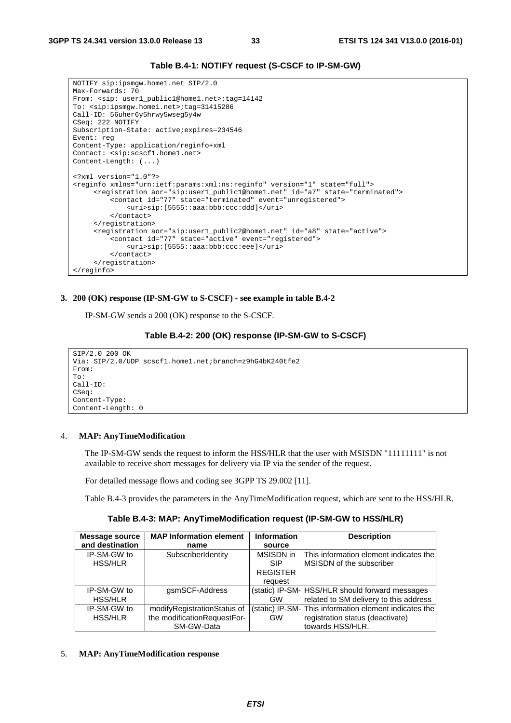```
Table B.4-1: NOTIFY request (S-CSCF to IP-SM-GW)
```

```
NOTIFY sip:ipsmgw.home1.net SIP/2.0 
Max-Forwards: 70 
From: <sip: user1_public1@home1.net>;tag=14142 
To: <sip:ipsmgw.home1.net>;tag=31415286 
Call-ID: 56uher6y5hrwy5wseg5y4w 
CSeq: 222 NOTIFY 
Subscription-State: active;expires=234546 
Event: reg 
Content-Type: application/reginfo+xml 
Contact: <sip:scscf1.home1.net> 
Content-Length: (...) 
<?xml version="1.0"?> 
<reginfo xmlns="urn:ietf:params:xml:ns:reginfo" version="1" state="full"> 
      <registration aor="sip:user1_public1@home1.net" id="a7" state="terminated"> 
          <contact id="77" state="terminated" event="unregistered"> 
              <uri>sip:[5555::aaa:bbb:ccc:ddd]</uri> 
          </contact> 
      </registration> 
      <registration aor="sip:user1_public2@home1.net" id="a8" state="active"> 
          <contact id="77" state="active" event="registered"> 
              <uri>sip:[5555::aaa:bbb:ccc:eee]</uri> 
          </contact> 
      </registration> 
</reginfo>
```
#### **3. 200 (OK) response (IP-SM-GW to S-CSCF) - see example in table B.4-2**

IP-SM-GW sends a 200 (OK) response to the S-CSCF.

#### **Table B.4-2: 200 (OK) response (IP-SM-GW to S-CSCF)**

```
SIP/2.0 200 OK 
Via: SIP/2.0/UDP scscf1.home1.net;branch=z9hG4bK240tfe2 
From: 
T<sub>O</sub>:
Call-ID: 
CSeq: 
Content-Type: 
Content-Length: 0
```
#### 4. **MAP: AnyTimeModification**

 The IP-SM-GW sends the request to inform the HSS/HLR that the user with MSISDN "11111111" is not available to receive short messages for delivery via IP via the sender of the request.

For detailed message flows and coding see 3GPP TS 29.002 [11].

Table B.4-3 provides the parameters in the AnyTimeModification request, which are sent to the HSS/HLR.

**Table B.4-3: MAP: AnyTimeModification request (IP-SM-GW to HSS/HLR)** 

| Message source  | <b>MAP Information element</b> | <b>Information</b> | <b>Description</b>                                     |
|-----------------|--------------------------------|--------------------|--------------------------------------------------------|
| and destination | name                           | source             |                                                        |
| IP-SM-GW to     | SubscriberIdentity             | MSISDN in          | This information element indicates the                 |
| <b>HSS/HLR</b>  |                                | <b>SIP</b>         | <b>IMSISDN of the subscriber</b>                       |
|                 |                                | <b>REGISTER</b>    |                                                        |
|                 |                                | request            |                                                        |
| IP-SM-GW to     | gsmSCF-Address                 |                    | (static) IP-SM- HSS/HLR should forward messages        |
| <b>HSS/HLR</b>  |                                | GW                 | related to SM delivery to this address                 |
| IP-SM-GW to     | modifyRegistrationStatus of    |                    | (static) IP-SM- This information element indicates the |
| <b>HSS/HLR</b>  | the modificationRequestFor-    | <b>GW</b>          | registration status (deactivate)                       |
|                 | SM-GW-Data                     |                    | towards HSS/HLR.                                       |

#### 5. **MAP: AnyTimeModification response**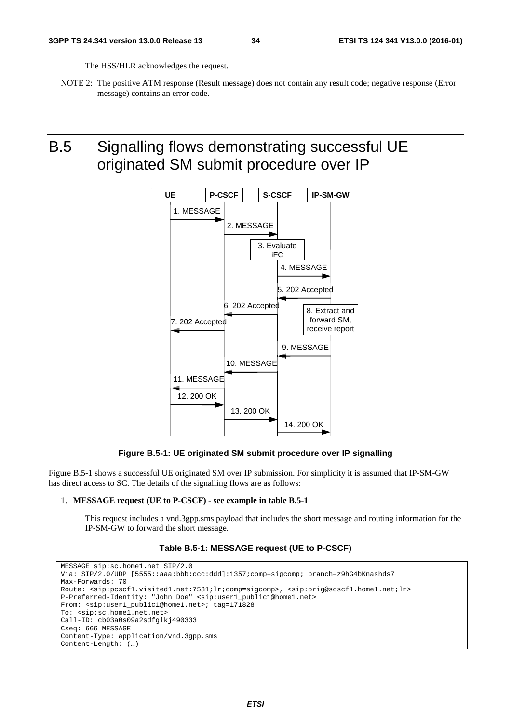The HSS/HLR acknowledges the request.

NOTE 2: The positive ATM response (Result message) does not contain any result code; negative response (Error message) contains an error code.

B.5 Signalling flows demonstrating successful UE originated SM submit procedure over IP



#### **Figure B.5-1: UE originated SM submit procedure over IP signalling**

Figure B.5-1 shows a successful UE originated SM over IP submission. For simplicity it is assumed that IP-SM-GW has direct access to SC. The details of the signalling flows are as follows:

#### 1. **MESSAGE request (UE to P-CSCF) - see example in table B.5-1**

 This request includes a vnd.3gpp.sms payload that includes the short message and routing information for the IP-SM-GW to forward the short message.

#### **Table B.5-1: MESSAGE request (UE to P-CSCF)**

```
MESSAGE sip:sc.home1.net SIP/2.0 
Via: SIP/2.0/UDP [5555::aaa:bbb:ccc:ddd]:1357;comp=sigcomp; branch=z9hG4bKnashds7 
Max-Forwards: 70 
Route: <sip:pcscf1.visited1.net:7531;lr;comp=sigcomp>, <sip:orig@scscf1.home1.net;lr> 
P-Preferred-Identity: "John Doe" <sip:user1_public1@home1.net> 
From: <sip:user1_public1@home1.net>; tag=171828 
To: <sip:sc.home1.net.net>
Call-ID: cb03a0s09a2sdfglkj490333 
Cseq: 666 MESSAGE 
Content-Type: application/vnd.3gpp.sms 
Content-Length: (…)
```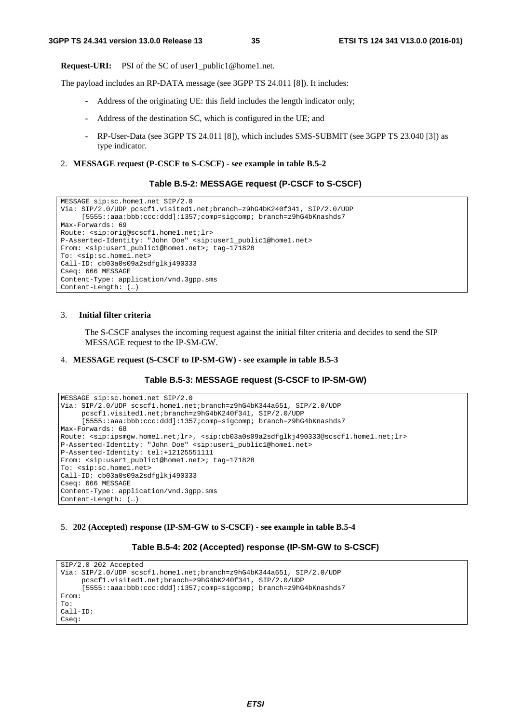**Request-URI:** PSI of the SC of user1 public1@home1.net.

The payload includes an RP-DATA message (see 3GPP TS 24.011 [8]). It includes:

- Address of the originating UE: this field includes the length indicator only;
- Address of the destination SC, which is configured in the UE; and
- RP-User-Data (see 3GPP TS 24.011 [8]), which includes SMS-SUBMIT (see 3GPP TS 23.040 [3]) as type indicator.
- 2. **MESSAGE request (P-CSCF to S-CSCF) see example in table B.5-2**

#### **Table B.5-2: MESSAGE request (P-CSCF to S-CSCF)**

```
MESSAGE sip:sc.home1.net SIP/2.0 
Via: SIP/2.0/UDP pcscf1.visited1.net;branch=z9hG4bK240f341, SIP/2.0/UDP 
     [5555::aaa:bbb:ccc:ddd]:1357;comp=sigcomp; branch=z9hG4bKnashds7 
Max-Forwards: 69 
Route: <sip:orig@scscf1.home1.net;lr> 
P-Asserted-Identity: "John Doe" <sip:user1_public1@home1.net> 
From: <sip:user1_public1@home1.net>; tag=171828 
To: <sip:sc.home1.net> 
Call-ID: cb03a0s09a2sdfglkj490333 
Cseq: 666 MESSAGE 
Content-Type: application/vnd.3gpp.sms 
Content-Length: (…)
```
#### 3. **Initial filter criteria**

 The S-CSCF analyses the incoming request against the initial filter criteria and decides to send the SIP MESSAGE request to the IP-SM-GW.

#### 4. **MESSAGE request (S-CSCF to IP-SM-GW) - see example in table B.5-3**

#### **Table B.5-3: MESSAGE request (S-CSCF to IP-SM-GW)**

```
MESSAGE sip:sc.home1.net SIP/2.0 
Via: SIP/2.0/UDP scscf1.home1.net;branch=z9hG4bK344a651, SIP/2.0/UDP 
     pcscf1.visited1.net;branch=z9hG4bK240f341, SIP/2.0/UDP 
     [5555::aaa:bbb:ccc:ddd]:1357;comp=sigcomp; branch=z9hG4bKnashds7 
Max-Forwards: 68 
Route: <sip:ipsmgw.home1.net;lr>, <sip:cb03a0s09a2sdfglkj490333@scscf1.home1.net;lr> 
P-Asserted-Identity: "John Doe" <sip:user1_public1@home1.net> 
P-Asserted-Identity: tel:+12125551111 
From: <sip:user1_public1@home1.net>; tag=171828 
To: <sip:sc.home1.net> 
Call-ID: cb03a0s09a2sdfglkj490333 
Cseq: 666 MESSAGE 
Content-Type: application/vnd.3gpp.sms 
Content-Length: (…)
```
#### 5. **202 (Accepted) response (IP-SM-GW to S-CSCF) - see example in table B.5-4**

#### **Table B.5-4: 202 (Accepted) response (IP-SM-GW to S-CSCF)**

```
SIP/2.0 202 Accepted 
Via: SIP/2.0/UDP scscf1.home1.net;branch=z9hG4bK344a651, SIP/2.0/UDP 
     pcscf1.visited1.net;branch=z9hG4bK240f341, SIP/2.0/UDP 
     [5555::aaa:bbb:ccc:ddd]:1357;comp=sigcomp; branch=z9hG4bKnashds7 
From: 
To: 
Call-ID: 
Cseq:
```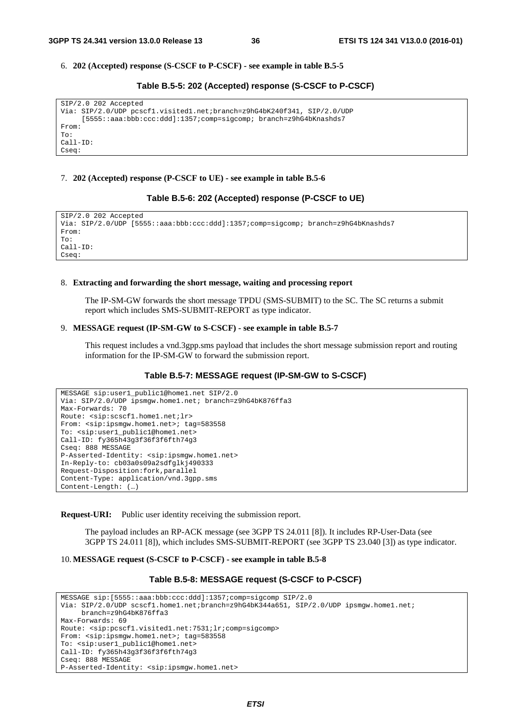6. **202 (Accepted) response (S-CSCF to P-CSCF) - see example in table B.5-5** 

**Table B.5-5: 202 (Accepted) response (S-CSCF to P-CSCF)** 

```
SIP/2.0 202 Accepted 
Via: SIP/2.0/UDP pcscf1.visited1.net;branch=z9hG4bK240f341, SIP/2.0/UDP 
     [5555::aaa:bbb:ccc:ddd]:1357;comp=sigcomp; branch=z9hG4bKnashds7 
From: 
To: 
Call-ID: 
Cseq:
```
#### 7. **202 (Accepted) response (P-CSCF to UE) - see example in table B.5-6**

```
Table B.5-6: 202 (Accepted) response (P-CSCF to UE)
```
SIP/2.0 202 Accepted Via: SIP/2.0/UDP [5555::aaa:bbb:ccc:ddd]:1357;comp=sigcomp; branch=z9hG4bKnashds7 From: To: Call-ID: Cseq:

#### 8. **Extracting and forwarding the short message, waiting and processing report**

 The IP-SM-GW forwards the short message TPDU (SMS-SUBMIT) to the SC. The SC returns a submit report which includes SMS-SUBMIT-REPORT as type indicator.

#### 9. **MESSAGE request (IP-SM-GW to S-CSCF) - see example in table B.5-7**

 This request includes a vnd.3gpp.sms payload that includes the short message submission report and routing information for the IP-SM-GW to forward the submission report.

#### **Table B.5-7: MESSAGE request (IP-SM-GW to S-CSCF)**

```
MESSAGE sip:user1_public1@home1.net SIP/2.0 
Via: SIP/2.0/UDP ipsmgw.home1.net; branch=z9hG4bK876ffa3 
Max-Forwards: 70 
Route: <sip:scscf1.home1.net;lr> 
From: <sip:ipsmgw.home1.net>; tag=583558
To: <sip:user1_public1@home1.net> 
Call-ID: fy365h43g3f36f3f6fth74g3 
Cseq: 888 MESSAGE 
P-Asserted-Identity: <sip:ipsmgw.home1.net> 
In-Reply-to: cb03a0s09a2sdfglkj490333 
Request-Disposition:fork,parallel 
Content-Type: application/vnd.3gpp.sms 
Content-Length: (…)
```
**Request-URI:** Public user identity receiving the submission report.

 The payload includes an RP-ACK message (see 3GPP TS 24.011 [8]). It includes RP-User-Data (see 3GPP TS 24.011 [8]), which includes SMS-SUBMIT-REPORT (see 3GPP TS 23.040 [3]) as type indicator.

10. **MESSAGE request (S-CSCF to P-CSCF) - see example in table B.5-8** 

#### **Table B.5-8: MESSAGE request (S-CSCF to P-CSCF)**

```
MESSAGE sip:[5555::aaa:bbb:ccc:ddd]:1357;comp=sigcomp SIP/2.0 
Via: SIP/2.0/UDP scscf1.home1.net;branch=z9hG4bK344a651, SIP/2.0/UDP ipsmgw.home1.net; 
     branch=z9hG4bK876ffa3 
Max-Forwards: 69 
Route: <sip:pcscf1.visited1.net:7531;lr;comp=sigcomp> 
From: <sip:ipsmqw.home1.net>; tag=583558
To: <sip:user1_public1@home1.net> 
Call-ID: fy365h43g3f36f3f6fth74g3 
Cseq: 888 MESSAGE 
P-Asserted-Identity: <sip:ipsmgw.home1.net>
```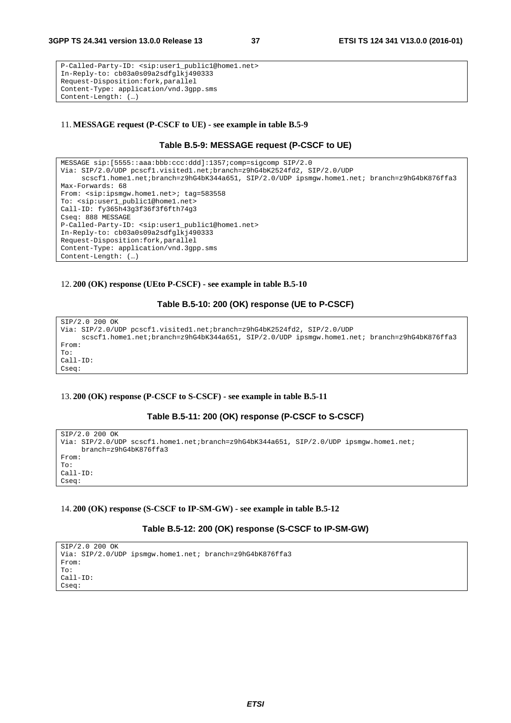```
P-Called-Party-ID: <sip:user1_public1@home1.net> 
In-Reply-to: cb03a0s09a2sdfglkj490333 
Request-Disposition:fork,parallel 
Content-Type: application/vnd.3gpp.sms 
Content-Length: (…)
```
#### 11. **MESSAGE request (P-CSCF to UE) - see example in table B.5-9**

#### **Table B.5-9: MESSAGE request (P-CSCF to UE)**

```
MESSAGE sip:[5555::aaa:bbb:ccc:ddd]:1357;comp=sigcomp SIP/2.0 
Via: SIP/2.0/UDP pcscf1.visited1.net;branch=z9hG4bK2524fd2, SIP/2.0/UDP 
     scscf1.home1.net;branch=z9hG4bK344a651, SIP/2.0/UDP ipsmqw.home1.net; branch=z9hG4bK876ffa3
Max-Forwards: 68 
From: <sip:ipsmgw.home1.net>; tag=583558
To: <sip:user1_public1@home1.net> 
Call-ID: fy365h43g3f36f3f6fth74g3 
Cseq: 888 MESSAGE 
P-Called-Party-ID: <sip:user1_public1@home1.net> 
In-Reply-to: cb03a0s09a2sdfglkj490333 
Request-Disposition:fork,parallel 
Content-Type: application/vnd.3gpp.sms 
Content-Length: (…)
```
#### 12. **200 (OK) response (UEto P-CSCF) - see example in table B.5-10**

#### **Table B.5-10: 200 (OK) response (UE to P-CSCF)**

```
SIP/2.0 200 OK 
Via: SIP/2.0/UDP pcscf1.visited1.net;branch=z9hG4bK2524fd2, SIP/2.0/UDP 
     scscf1.home1.net;branch=z9hG4bK344a651, SIP/2.0/UDP ipsmgw.home1.net; branch=z9hG4bK876ffa3 
From: 
To: 
Call-ID: 
Cseq:
```
#### 13. **200 (OK) response (P-CSCF to S-CSCF) - see example in table B.5-11**

#### **Table B.5-11: 200 (OK) response (P-CSCF to S-CSCF)**

```
SIP/2.0 200 OK 
Via: SIP/2.0/UDP scscf1.home1.net;branch=z9hG4bK344a651, SIP/2.0/UDP ipsmgw.home1.net;
     branch=z9hG4bK876ffa3 
From: 
To: 
Call-ID: 
Cseq:
```
#### 14. **200 (OK) response (S-CSCF to IP-SM-GW) - see example in table B.5-12**

#### **Table B.5-12: 200 (OK) response (S-CSCF to IP-SM-GW)**

```
SIP/2.0 200 OK 
Via: SIP/2.0/UDP ipsmgw.home1.net; branch=z9hG4bK876ffa3 
From: 
To: 
Call-ID: 
Cseq:
```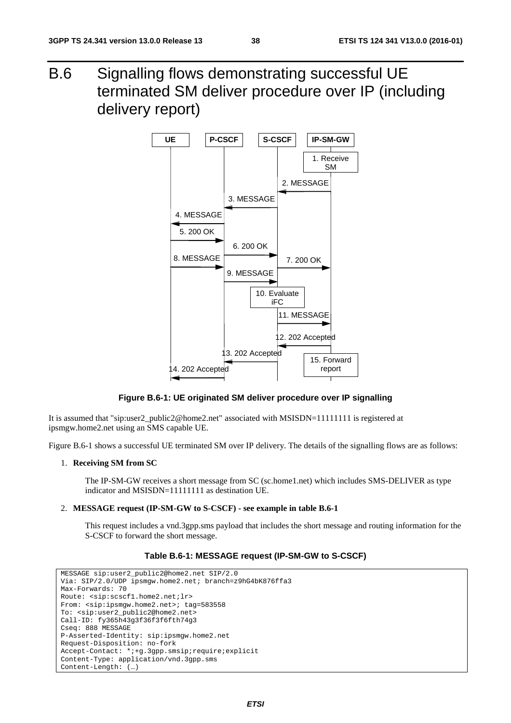B.6 Signalling flows demonstrating successful UE terminated SM deliver procedure over IP (including delivery report)



**Figure B.6-1: UE originated SM deliver procedure over IP signalling** 

It is assumed that "sip:user2\_public2@home2.net" associated with MSISDN=11111111 is registered at ipsmgw.home2.net using an SMS capable UE.

Figure B.6-1 shows a successful UE terminated SM over IP delivery. The details of the signalling flows are as follows:

#### 1. **Receiving SM from SC**

 The IP-SM-GW receives a short message from SC (sc.home1.net) which includes SMS-DELIVER as type indicator and MSISDN=11111111 as destination UE.

#### 2. **MESSAGE request (IP-SM-GW to S-CSCF) - see example in table B.6-1**

 This request includes a vnd.3gpp.sms payload that includes the short message and routing information for the S-CSCF to forward the short message.

#### **Table B.6-1: MESSAGE request (IP-SM-GW to S-CSCF)**

```
MESSAGE sip:user2_public2@home2.net SIP/2.0 
Via: SIP/2.0/UDP ipsmgw.home2.net; branch=z9hG4bK876ffa3 
Max-Forwards: 70 
Route: <sip:scscf1.home2.net;lr> 
From: <sip:ipsmgw.home2.net>; tag=583558
To: <sip:user2_public2@home2.net> 
Call-ID: fy365h43g3f36f3f6fth74g3 
Cseq: 888 MESSAGE 
P-Asserted-Identity: sip:ipsmgw.home2.net 
Request-Disposition: no-fork 
Accept-Contact: *;+g.3gpp.smsip;require;explicit 
Content-Type: application/vnd.3gpp.sms 
Content-Length: (…)
```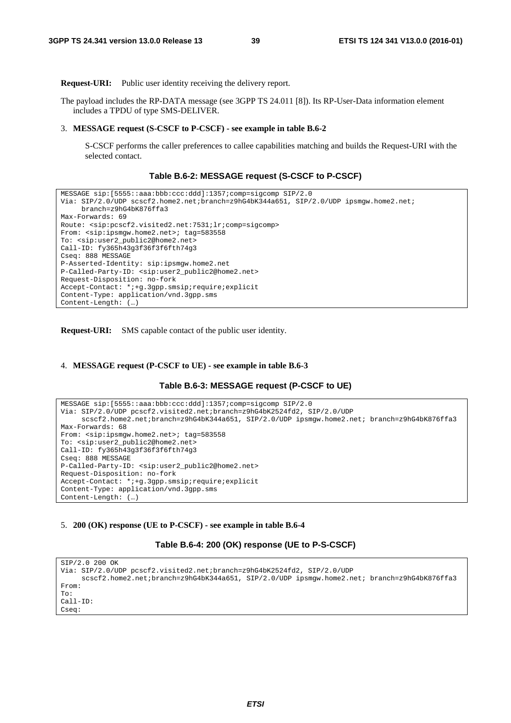**Request-URI:** Public user identity receiving the delivery report.

The payload includes the RP-DATA message (see 3GPP TS 24.011 [8]). Its RP-User-Data information element includes a TPDU of type SMS-DELIVER.

#### 3. **MESSAGE request (S-CSCF to P-CSCF) - see example in table B.6-2**

 S-CSCF performs the caller preferences to callee capabilities matching and builds the Request-URI with the selected contact.

#### **Table B.6-2: MESSAGE request (S-CSCF to P-CSCF)**

```
MESSAGE sip:[5555::aaa:bbb:ccc:ddd]:1357;comp=sigcomp SIP/2.0 
Via: SIP/2.0/UDP scscf2.home2.net;branch=z9hG4bK344a651, SIP/2.0/UDP ipsmgw.home2.net; 
     branch=z9hG4bK876ffa3 
Max-Forwards: 69 
Route: <sip:pcscf2.visited2.net:7531;lr;comp=sigcomp> 
From: <sip:ipsmgw.home2.net>; tag=583558
To: <sip:user2_public2@home2.net> 
Call-ID: fy365h43g3f36f3f6fth74g3 
Cseq: 888 MESSAGE 
P-Asserted-Identity: sip:ipsmgw.home2.net 
P-Called-Party-ID: <sip:user2_public2@home2.net> 
Request-Disposition: no-fork 
Accept-Contact: *;+g.3gpp.smsip;require;explicit 
Content-Type: application/vnd.3gpp.sms 
Content-Length: (…)
```
**Request-URI:** SMS capable contact of the public user identity.

#### 4. **MESSAGE request (P-CSCF to UE) - see example in table B.6-3**

```
Table B.6-3: MESSAGE request (P-CSCF to UE)
```

```
MESSAGE sip:[5555::aaa:bbb:ccc:ddd]:1357;comp=sigcomp SIP/2.0 
Via: SIP/2.0/UDP pcscf2.visited2.net;branch=z9hG4bK2524fd2, SIP/2.0/UDP 
     scscf2.home2.net;branch=z9hG4bK344a651, SIP/2.0/UDP ipsmqw.home2.net; branch=z9hG4bK876ffa3
Max-Forwards: 68 
From: <sip:ipsmgw.home2.net>; tag=583558 
To: <sip:user2_public2@home2.net> 
Call-ID: fy365h43g3f36f3f6fth74g3 
Cseq: 888 MESSAGE 
P-Called-Party-ID: <sip:user2_public2@home2.net> 
Request-Disposition: no-fork 
Accept-Contact: *;+g.3gpp.smsip;require;explicit 
Content-Type: application/vnd.3gpp.sms 
Content-Length: (…)
```
#### 5. **200 (OK) response (UE to P-CSCF) - see example in table B.6-4**

**Table B.6-4: 200 (OK) response (UE to P-S-CSCF)** 

```
SIP/2.0 200 OK 
Via: SIP/2.0/UDP pcscf2.visited2.net;branch=z9hG4bK2524fd2, SIP/2.0/UDP 
     scscf2.home2.net;branch=z9hG4bK344a651, SIP/2.0/UDP ipsmgw.home2.net; branch=z9hG4bK876ffa3
From: 
To: 
Call-ID: 
Cseq:
```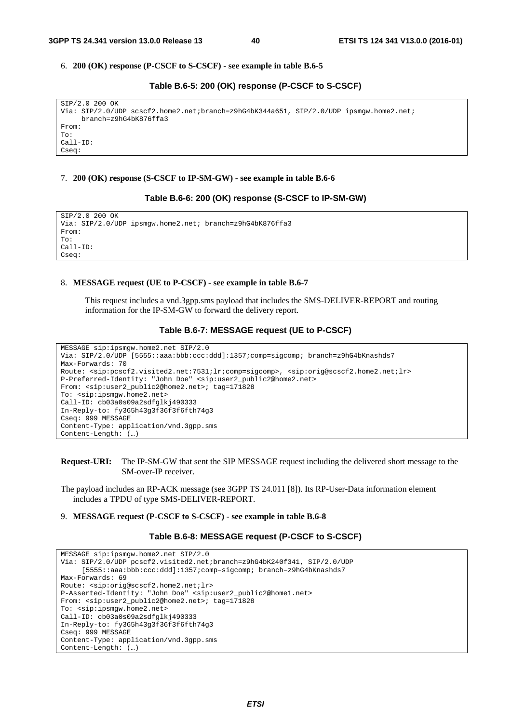#### 6. **200 (OK) response (P-CSCF to S-CSCF) - see example in table B.6-5**

#### **Table B.6-5: 200 (OK) response (P-CSCF to S-CSCF)**

| SIP/2.0 200 OK                                                                         |  |
|----------------------------------------------------------------------------------------|--|
| Via: SIP/2.0/UDP scscf2.home2.net;branch=z9hG4bK344a651, SIP/2.0/UDP ipsmqw.home2.net; |  |
| $branch = z9hG4bK876ffa3$                                                              |  |
| From:                                                                                  |  |
| To:                                                                                    |  |
| $Call-ID:$                                                                             |  |
| Cseq:                                                                                  |  |
|                                                                                        |  |

#### 7. **200 (OK) response (S-CSCF to IP-SM-GW) - see example in table B.6-6**

#### **Table B.6-6: 200 (OK) response (S-CSCF to IP-SM-GW)**

SIP/2.0 200 OK Via: SIP/2.0/UDP ipsmgw.home2.net; branch=z9hG4bK876ffa3 From: To: Call-ID: Cseq:

#### 8. **MESSAGE request (UE to P-CSCF) - see example in table B.6-7**

 This request includes a vnd.3gpp.sms payload that includes the SMS-DELIVER-REPORT and routing information for the IP-SM-GW to forward the delivery report.

#### **Table B.6-7: MESSAGE request (UE to P-CSCF)**

```
MESSAGE sip:ipsmgw.home2.net SIP/2.0 
Via: SIP/2.0/UDP [5555::aaa:bbb:ccc:ddd]:1357;comp=sigcomp; branch=z9hG4bKnashds7 
Max-Forwards: 70 
Route: <sip:pcscf2.visited2.net:7531;lr;comp=sigcomp>, <sip:orig@scscf2.home2.net;lr> 
P-Preferred-Identity: "John Doe" <sip:user2_public2@home2.net> 
From: <sip:user2_public2@home2.net>; tag=171828 
To: <sip:ipsmgw.home2.net> 
Call-ID: cb03a0s09a2sdfglkj490333 
In-Reply-to: fy365h43g3f36f3f6fth74g3 
Cseq: 999 MESSAGE 
Content-Type: application/vnd.3gpp.sms 
Content-Length: (…)
```
#### **Request-URI:** The IP-SM-GW that sent the SIP MESSAGE request including the delivered short message to the SM-over-IP receiver.

The payload includes an RP-ACK message (see 3GPP TS 24.011 [8]). Its RP-User-Data information element includes a TPDU of type SMS-DELIVER-REPORT.

#### 9. **MESSAGE request (P-CSCF to S-CSCF) - see example in table B.6-8**

#### **Table B.6-8: MESSAGE request (P-CSCF to S-CSCF)**

```
MESSAGE sip:ipsmgw.home2.net SIP/2.0 
Via: SIP/2.0/UDP pcscf2.visited2.net;branch=z9hG4bK240f341, SIP/2.0/UDP 
     [5555::aaa:bbb:ccc:ddd]:1357;comp=sigcomp; branch=z9hG4bKnashds7 
Max-Forwards: 69 
Route: <sip:orig@scscf2.home2.net;lr> 
P-Asserted-Identity: "John Doe" <sip:user2_public2@home1.net> 
From: <sip:user2_public2@home2.net>; tag=171828 
To: <sip:ipsmgw.home2.net> 
Call-ID: cb03a0s09a2sdfglkj490333 
In-Reply-to: fy365h43g3f36f3f6fth74g3 
Cseq: 999 MESSAGE 
Content-Type: application/vnd.3gpp.sms 
Content-Length: (…)
```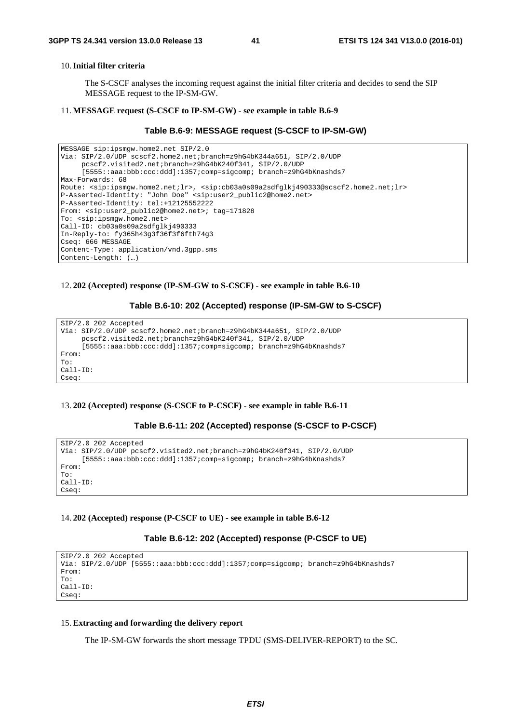#### 10. **Initial filter criteria**

 The S-CSCF analyses the incoming request against the initial filter criteria and decides to send the SIP MESSAGE request to the IP-SM-GW.

#### 11. **MESSAGE request (S-CSCF to IP-SM-GW) - see example in table B.6-9**

```
Table B.6-9: MESSAGE request (S-CSCF to IP-SM-GW)
```

```
MESSAGE sip:ipsmgw.home2.net SIP/2.0 
Via: SIP/2.0/UDP scscf2.home2.net;branch=z9hG4bK344a651, SIP/2.0/UDP 
     pcscf2.visited2.net;branch=z9hG4bK240f341, SIP/2.0/UDP 
     [5555::aaa:bbb:ccc:ddd]:1357;comp=sigcomp; branch=z9hG4bKnashds7 
Max-Forwards: 68 
Route: <sip:ipsmgw.home2.net;lr>, <sip:cb03a0s09a2sdfglkj490333@scscf2.home2.net;lr> 
P-Asserted-Identity: "John Doe" <sip:user2_public2@home2.net> 
P-Asserted-Identity: tel:+12125552222 
From: <sip:user2_public2@home2.net>; tag=171828 
To: <sip:ipsmgw.home2.net> 
Call-ID: cb03a0s09a2sdfglkj490333 
In-Reply-to: fy365h43g3f36f3f6fth74g3 
Cseq: 666 MESSAGE 
Content-Type: application/vnd.3gpp.sms 
Content-Length: (…)
```
#### 12. **202 (Accepted) response (IP-SM-GW to S-CSCF) - see example in table B.6-10**

#### **Table B.6-10: 202 (Accepted) response (IP-SM-GW to S-CSCF)**

```
SIP/2.0 202 Accepted 
Via: SIP/2.0/UDP scscf2.home2.net;branch=z9hG4bK344a651, SIP/2.0/UDP 
     pcscf2.visited2.net;branch=z9hG4bK240f341, SIP/2.0/UDP 
     [5555::aaa:bbb:ccc:ddd]:1357;comp=sigcomp; branch=z9hG4bKnashds7 
From: 
To: 
Call-ID: 
Cseq:
```
#### 13. **202 (Accepted) response (S-CSCF to P-CSCF) - see example in table B.6-11**

#### **Table B.6-11: 202 (Accepted) response (S-CSCF to P-CSCF)**

```
SIP/2.0 202 Accepted 
Via: SIP/2.0/UDP pcscf2.visited2.net;branch=z9hG4bK240f341, SIP/2.0/UDP 
     [5555::aaa:bbb:ccc:ddd]:1357;comp=sigcomp; branch=z9hG4bKnashds7 
From: 
To: 
Call-ID: 
Cseq:
```
#### 14. **202 (Accepted) response (P-CSCF to UE) - see example in table B.6-12**

#### **Table B.6-12: 202 (Accepted) response (P-CSCF to UE)**

```
SIP/2.0 202 Accepted 
Via: SIP/2.0/UDP [5555::aaa:bbb:ccc:ddd]:1357;comp=sigcomp; branch=z9hG4bKnashds7 
From: 
To: 
Call-ID: 
Cseq:
```
#### 15. **Extracting and forwarding the delivery report**

The IP-SM-GW forwards the short message TPDU (SMS-DELIVER-REPORT) to the SC.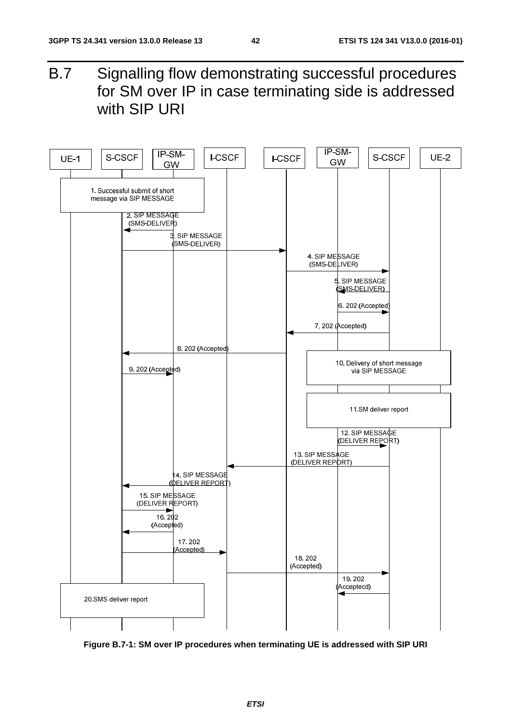B.7 Signalling flow demonstrating successful procedures for SM over IP in case terminating side is addressed with SIP URI



**Figure B.7-1: SM over IP procedures when terminating UE is addressed with SIP URI**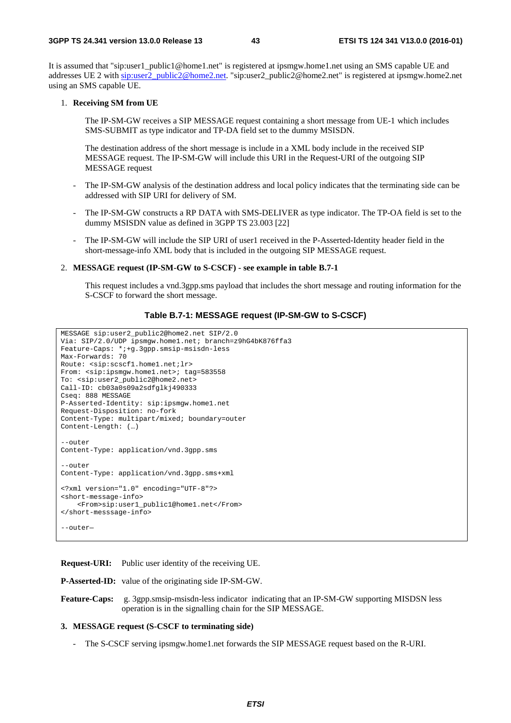#### **3GPP TS 24.341 version 13.0.0 Release 13 43 ETSI TS 124 341 V13.0.0 (2016-01)**

It is assumed that "sip:user1\_public1@home1.net" is registered at ipsmgw.home1.net using an SMS capable UE and addresses UE 2 with sip:user2\_public2@home2.net. "sip:user2\_public2@home2.net" is registered at ipsmgw.home2.net using an SMS capable UE.

#### 1. **Receiving SM from UE**

 The IP-SM-GW receives a SIP MESSAGE request containing a short message from UE-1 which includes SMS-SUBMIT as type indicator and TP-DA field set to the dummy MSISDN.

 The destination address of the short message is include in a XML body include in the received SIP MESSAGE request. The IP-SM-GW will include this URI in the Request-URI of the outgoing SIP MESSAGE request

- The IP-SM-GW analysis of the destination address and local policy indicates that the terminating side can be addressed with SIP URI for delivery of SM.
- The IP-SM-GW constructs a RP DATA with SMS-DELIVER as type indicator. The TP-OA field is set to the dummy MSISDN value as defined in 3GPP TS 23.003 [22]
- The IP-SM-GW will include the SIP URI of user1 received in the P-Asserted-Identity header field in the short-message-info XML body that is included in the outgoing SIP MESSAGE request.

#### 2. **MESSAGE request (IP-SM-GW to S-CSCF) - see example in table B.7-1**

 This request includes a vnd.3gpp.sms payload that includes the short message and routing information for the S-CSCF to forward the short message.

#### **Table B.7-1: MESSAGE request (IP-SM-GW to S-CSCF)**

```
MESSAGE sip:user2_public2@home2.net SIP/2.0 
Via: SIP/2.0/UDP ipsmgw.home1.net; branch=z9hG4bK876ffa3 
Feature-Caps: *;+g.3gpp.smsip-msisdn-less 
Max-Forwards: 70 
Route: <sip:scscf1.home1.net;lr> 
From: <sip:ipsmgw.home1.net>; tag=583558 
To: <sip:user2_public2@home2.net> 
Call-ID: cb03a0s09a2sdfglkj490333 
Cseq: 888 MESSAGE 
P-Asserted-Identity: sip:ipsmgw.home1.net 
Request-Disposition: no-fork 
Content-Type: multipart/mixed; boundary=outer 
Content-Length: (…) 
--outer
Content-Type: application/vnd.3gpp.sms 
--outer 
Content-Type: application/vnd.3gpp.sms+xml 
<?xml version="1.0" encoding="UTF-8"?> 
<short-message-info> 
     <From>sip:user1_public1@home1.net</From> 
</short-messsage-info> 
--outer—
```
**Request-URI:** Public user identity of the receiving UE.

**P-Asserted-ID:** value of the originating side IP-SM-GW.

**Feature-Caps:** g. 3gpp.smsip-msisdn-less indicator indicating that an IP-SM-GW supporting MISDSN less operation is in the signalling chain for the SIP MESSAGE.

#### **3. MESSAGE request (S-CSCF to terminating side)**

- The S-CSCF serving ipsmgw.home1.net forwards the SIP MESSAGE request based on the R-URI.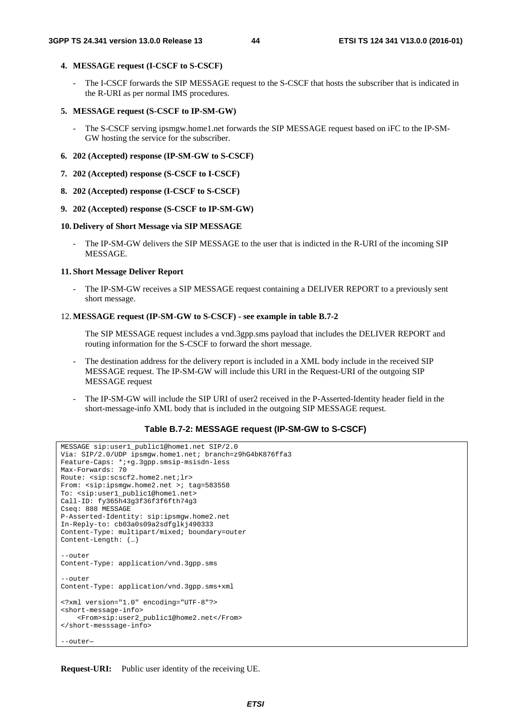#### **4. MESSAGE request (I-CSCF to S-CSCF)**

The I-CSCF forwards the SIP MESSAGE request to the S-CSCF that hosts the subscriber that is indicated in the R-URI as per normal IMS procedures.

#### **5. MESSAGE request (S-CSCF to IP-SM-GW)**

- The S-CSCF serving ipsmgw.home1.net forwards the SIP MESSAGE request based on iFC to the IP-SM-GW hosting the service for the subscriber.

#### **6. 202 (Accepted) response (IP-SM-GW to S-CSCF)**

- **7. 202 (Accepted) response (S-CSCF to I-CSCF)**
- **8. 202 (Accepted) response (I-CSCF to S-CSCF)**
- **9. 202 (Accepted) response (S-CSCF to IP-SM-GW)**

#### **10. Delivery of Short Message via SIP MESSAGE**

The IP-SM-GW delivers the SIP MESSAGE to the user that is indicted in the R-URI of the incoming SIP MESSAGE.

#### **11. Short Message Deliver Report**

The IP-SM-GW receives a SIP MESSAGE request containing a DELIVER REPORT to a previously sent short message.

#### 12. **MESSAGE request (IP-SM-GW to S-CSCF) - see example in table B.7-2**

 The SIP MESSAGE request includes a vnd.3gpp.sms payload that includes the DELIVER REPORT and routing information for the S-CSCF to forward the short message.

- The destination address for the delivery report is included in a XML body include in the received SIP MESSAGE request. The IP-SM-GW will include this URI in the Request-URI of the outgoing SIP MESSAGE request
- The IP-SM-GW will include the SIP URI of user2 received in the P-Asserted-Identity header field in the short-message-info XML body that is included in the outgoing SIP MESSAGE request.

### **Table B.7-2: MESSAGE request (IP-SM-GW to S-CSCF)**

```
MESSAGE sip:user1_public1@home1.net SIP/2.0 
Via: SIP/2.0/UDP ipsmgw.home1.net; branch=z9hG4bK876ffa3 
Feature-Caps: *;+g.3gpp.smsip-msisdn-less 
Max-Forwards: 70 
Route: <sip:scscf2.home2.net;lr> 
From: <sip:ipsmgw.home2.net >; tag=583558
To: <sip:user1_public1@home1.net> 
Call-ID: fy365h43g3f36f3f6fth74g3 
Cseq: 888 MESSAGE 
P-Asserted-Identity: sip:ipsmgw.home2.net 
In-Reply-to: cb03a0s09a2sdfglkj490333 
Content-Type: multipart/mixed; boundary=outer 
Content-Length: (…) 
--outer
Content-Type: application/vnd.3gpp.sms 
--outer 
Content-Type: application/vnd.3gpp.sms+xml 
<?xml version="1.0" encoding="UTF-8"?> 
<short-message-info> 
     <From>sip:user2_public1@home2.net</From> 
</short-messsage-info> 
--outer—
```
**Request-URI:** Public user identity of the receiving UE.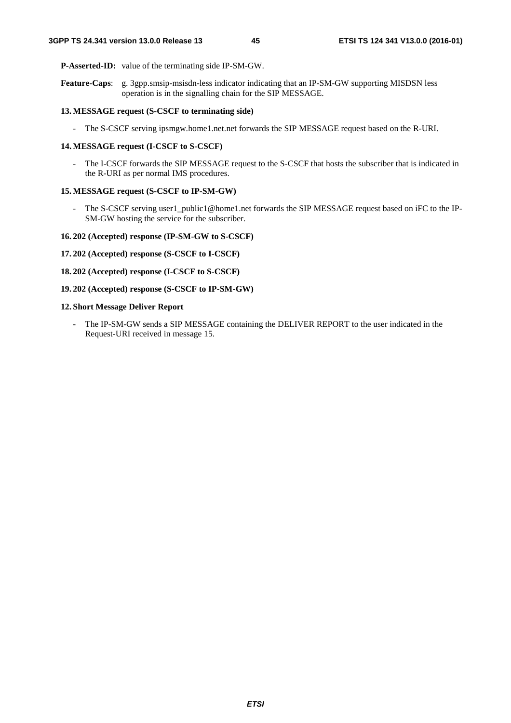**P-Asserted-ID:** value of the terminating side IP-SM-GW.

**Feature-Caps**: g. 3gpp.smsip-msisdn-less indicator indicating that an IP-SM-GW supporting MISDSN less operation is in the signalling chain for the SIP MESSAGE.

#### **13. MESSAGE request (S-CSCF to terminating side)**

- The S-CSCF serving ipsmgw.home1.net.net forwards the SIP MESSAGE request based on the R-URI.

#### **14. MESSAGE request (I-CSCF to S-CSCF)**

- The I-CSCF forwards the SIP MESSAGE request to the S-CSCF that hosts the subscriber that is indicated in the R-URI as per normal IMS procedures.

#### **15. MESSAGE request (S-CSCF to IP-SM-GW)**

- The S-CSCF serving user1\_public1@home1.net forwards the SIP MESSAGE request based on iFC to the IP-SM-GW hosting the service for the subscriber.

#### **16. 202 (Accepted) response (IP-SM-GW to S-CSCF)**

- **17. 202 (Accepted) response (S-CSCF to I-CSCF)**
- **18. 202 (Accepted) response (I-CSCF to S-CSCF)**
- **19. 202 (Accepted) response (S-CSCF to IP-SM-GW)**

#### **12. Short Message Deliver Report**

- The IP-SM-GW sends a SIP MESSAGE containing the DELIVER REPORT to the user indicated in the Request-URI received in message 15.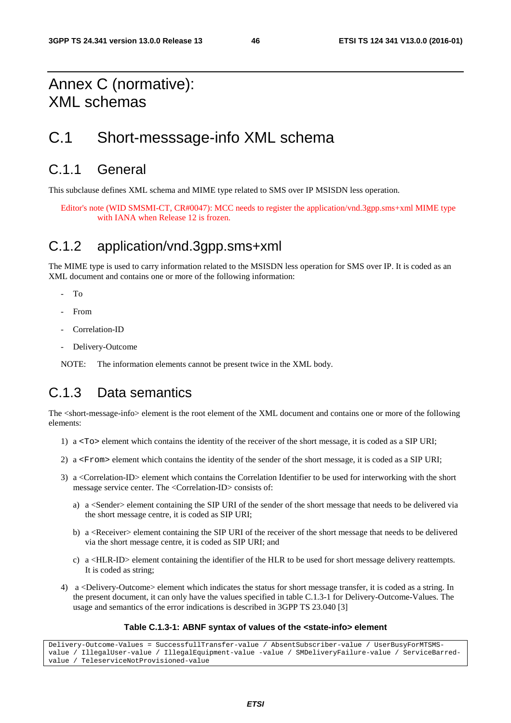## Annex C (normative): XML schemas

## C.1 Short-messsage-info XML schema

### C.1.1 General

This subclause defines XML schema and MIME type related to SMS over IP MSISDN less operation.

Editor's note (WID SMSMI-CT, CR#0047): MCC needs to register the application/vnd.3gpp.sms+xml MIME type with IANA when Release 12 is frozen.

## C.1.2 application/vnd.3gpp.sms+xml

The MIME type is used to carry information related to the MSISDN less operation for SMS over IP. It is coded as an XML document and contains one or more of the following information:

- To
- From
- Correlation-ID
- Delivery-Outcome

NOTE: The information elements cannot be present twice in the XML body.

## C.1.3 Data semantics

The <short-message-info> element is the root element of the XML document and contains one or more of the following elements:

- 1) a <To> element which contains the identity of the receiver of the short message, it is coded as a SIP URI;
- 2) a <From> element which contains the identity of the sender of the short message, it is coded as a SIP URI;
- 3) a <Correlation-ID> element which contains the Correlation Identifier to be used for interworking with the short message service center. The <Correlation-ID> consists of:
	- a) a <Sender> element containing the SIP URI of the sender of the short message that needs to be delivered via the short message centre, it is coded as SIP URI;
	- b) a <Receiver> element containing the SIP URI of the receiver of the short message that needs to be delivered via the short message centre, it is coded as SIP URI; and
	- c) a <HLR-ID> element containing the identifier of the HLR to be used for short message delivery reattempts. It is coded as string;
- 4) a <Delivery-Outcome> element which indicates the status for short message transfer, it is coded as a string. In the present document, it can only have the values specified in table C.1.3-1 for Delivery-Outcome-Values. The usage and semantics of the error indications is described in 3GPP TS 23.040 [3]

#### **Table C.1.3-1: ABNF syntax of values of the <state-info> element**

Delivery-Outcome-Values = SuccessfullTransfer-value / AbsentSubscriber-value / UserBusyForMTSMSvalue / IllegalUser-value / IllegalEquipment-value -value / SMDeliveryFailure-value / ServiceBarredvalue / TeleserviceNotProvisioned-value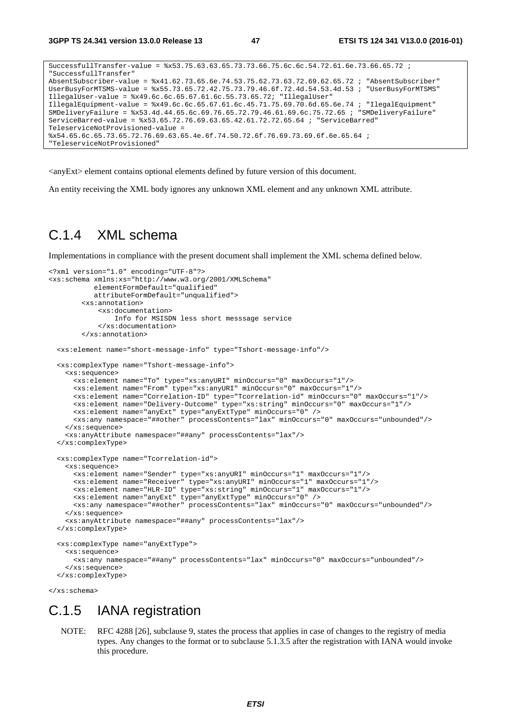```
SuccessfullTransfer-value = %x53.75.63.63.65.73.73.66.75.6c.6c.54.72.61.6e.73.66.65.72 ; 
"SuccessfullTransfer" 
AbsentSubscriber-value = %x41.62.73.65.6e.74.53.75.62.73.63.72.69.62.65.72 ; "AbsentSubscriber" 
UserBusyForMTSMS-value = %x55.73.65.72.42.75.73.79.46.6f.72.4d.54.53.4d.53 ; "UserBusyForMTSMS" 
IllegalUser-value = %x49.6c.6c.65.67.61.6c.55.73.65.72; "IllegalUser" 
IllegalEquipment-value = %x49.6c.6c.65.67.61.6c.45.71.75.69.70.6d.65.6e.74 ; "IlegalEquipment" 
SMDeliveryFailure = %x53.4d.44.65.6c.69.76.65.72.79.46.61.69.6c.75.72.65 ; "SMDeliveryFailure" 
ServiceBarred-value = %x53.65.72.76.69.63.65.42.61.72.72.65.64 ; "ServiceBarred" 
TeleserviceNotProvisioned-value = 
%x54.65.6c.65.73.65.72.76.69.63.65.4e.6f.74.50.72.6f.76.69.73.69.6f.6e.65.64 ; 
"TeleserviceNotProvisioned"
```
 $\langle$ anyExt $\rangle$  element contains optional elements defined by future version of this document.

An entity receiving the XML body ignores any unknown XML element and any unknown XML attribute.

### C.1.4 XML schema

Implementations in compliance with the present document shall implement the XML schema defined below.

```
<?xml version="1.0" encoding="UTF-8"?> 
<xs:schema xmlns:xs="http://www.w3.org/2001/XMLSchema" 
            elementFormDefault="qualified" 
            attributeFormDefault="unqualified"> 
         <xs:annotation> 
             <xs:documentation> 
                 Info for MSISDN less short messsage service 
             </xs:documentation> 
         </xs:annotation> 
   <xs:element name="short-message-info" type="Tshort-message-info"/> 
   <xs:complexType name="Tshort-message-info"> 
     <xs:sequence> 
       <xs:element name="To" type="xs:anyURI" minOccurs="0" maxOccurs="1"/> 
       <xs:element name="From" type="xs:anyURI" minOccurs="0" maxOccurs="1"/> 
       <xs:element name="Correlation-ID" type="Tcorrelation-id" minOccurs="0" maxOccurs="1"/> 
       <xs:element name="Delivery-Outcome" type="xs:string" minOccurs="0" maxOccurs="1"/> 
       <xs:element name="anyExt" type="anyExtType" minOccurs="0" /> 
       <xs:any namespace="##other" processContents="lax" minOccurs="0" maxOccurs="unbounded"/> 
     </xs:sequence> 
     <xs:anyAttribute namespace="##any" processContents="lax"/> 
   </xs:complexType> 
   <xs:complexType name="Tcorrelation-id"> 
     <xs:sequence> 
       <xs:element name="Sender" type="xs:anyURI" minOccurs="1" maxOccurs="1"/> 
       <xs:element name="Receiver" type="xs:anyURI" minOccurs="1" maxOccurs="1"/> 
       <xs:element name="HLR-ID" type="xs:string" minOccurs="1" maxOccurs="1"/> 
       <xs:element name="anyExt" type="anyExtType" minOccurs="0" /> 
       <xs:any namespace="##other" processContents="lax" minOccurs="0" maxOccurs="unbounded"/> 
     </xs:sequence> 
     <xs:anyAttribute namespace="##any" processContents="lax"/> 
   </xs:complexType> 
   <xs:complexType name="anyExtType"> 
     <xs:sequence> 
       <xs:any namespace="##any" processContents="lax" minOccurs="0" maxOccurs="unbounded"/> 
     </xs:sequence> 
   </xs:complexType>
```

```
</xs:schema>
```
### C.1.5 IANA registration

NOTE: RFC 4288 [26], subclause 9, states the process that applies in case of changes to the registry of media types. Any changes to the format or to subclause 5.1.3.5 after the registration with IANA would invoke this procedure.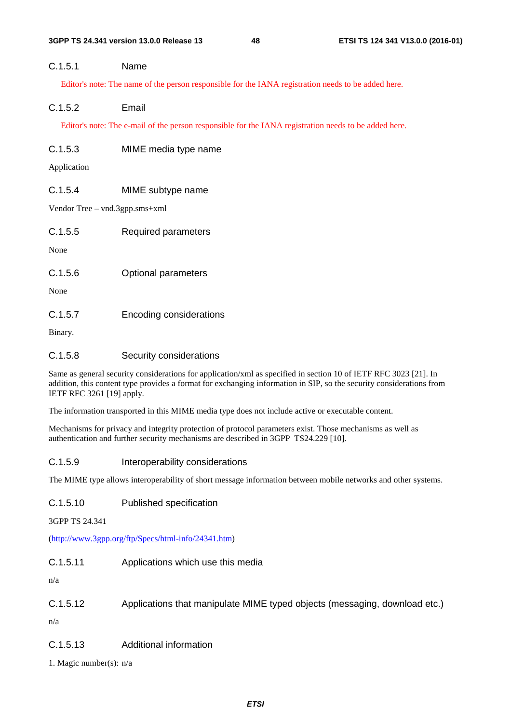### C.1.5.1 Name

Editor's note: The name of the person responsible for the IANA registration needs to be added here.

### C.1.5.2 Email

Editor's note: The e-mail of the person responsible for the IANA registration needs to be added here.

### C.1.5.3 MIME media type name

Application

### C.1.5.4 MIME subtype name

Vendor Tree – vnd.3gpp.sms+xml

| C.1.5.5 | <b>Required parameters</b> |
|---------|----------------------------|
| None    |                            |
| C.1.5.6 | <b>Optional parameters</b> |
| None    |                            |
| C.1.5.7 | Encoding considerations    |

Binary.

### C.1.5.8 Security considerations

Same as general security considerations for application/xml as specified in section 10 of IETF RFC 3023 [21]. In addition, this content type provides a format for exchanging information in SIP, so the security considerations from IETF RFC 3261 [19] apply.

The information transported in this MIME media type does not include active or executable content.

Mechanisms for privacy and integrity protection of protocol parameters exist. Those mechanisms as well as authentication and further security mechanisms are described in 3GPP TS24.229 [10].

### C.1.5.9 Interoperability considerations

The MIME type allows interoperability of short message information between mobile networks and other systems.

C.1.5.10 Published specification

3GPP TS 24.341

([http://www.3gpp.org/ftp/Specs/html-info/24341.htm\)](http://www.3gpp.org/ftp/Specs/html-info/24341.htm)

C.1.5.11 Applications which use this media

n/a

C.1.5.12 Applications that manipulate MIME typed objects (messaging, download etc.)

n/a

C.1.5.13 Additional information

1. Magic number(s): n/a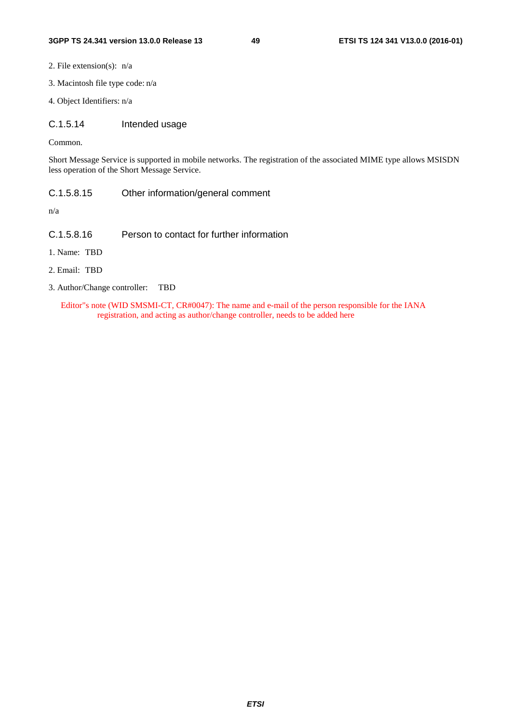- 2. File extension(s): n/a
- 3. Macintosh file type code: n/a
- 4. Object Identifiers: n/a
- C.1.5.14 Intended usage

Common.

Short Message Service is supported in mobile networks. The registration of the associated MIME type allows MSISDN less operation of the Short Message Service.

C.1.5.8.15 Other information/general comment

n/a

- C.1.5.8.16 Person to contact for further information
- 1. Name: TBD
- 2. Email: TBD
- 3. Author/Change controller: TBD

Editor"s note (WID SMSMI-CT, CR#0047): The name and e-mail of the person responsible for the IANA registration, and acting as author/change controller, needs to be added here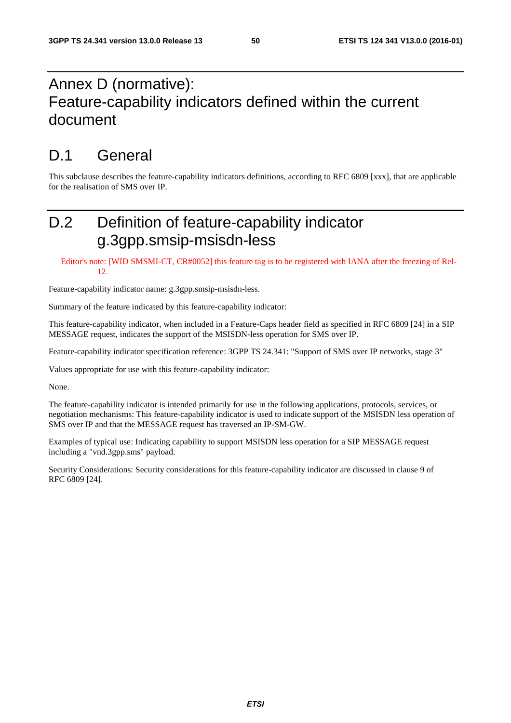## Annex D (normative): Feature-capability indicators defined within the current document

## D.1 General

This subclause describes the feature-capability indicators definitions, according to RFC 6809 [xxx], that are applicable for the realisation of SMS over IP.

## D.2 Definition of feature-capability indicator g.3gpp.smsip-msisdn-less

Editor's note: [WID SMSMI-CT, CR#0052] this feature tag is to be registered with IANA after the freezing of Rel-12.

Feature-capability indicator name: g.3gpp.smsip-msisdn-less.

Summary of the feature indicated by this feature-capability indicator:

This feature-capability indicator, when included in a Feature-Caps header field as specified in RFC 6809 [24] in a SIP MESSAGE request, indicates the support of the MSISDN-less operation for SMS over IP.

Feature-capability indicator specification reference: 3GPP TS 24.341: "Support of SMS over IP networks, stage 3"

Values appropriate for use with this feature-capability indicator:

None.

The feature-capability indicator is intended primarily for use in the following applications, protocols, services, or negotiation mechanisms: This feature-capability indicator is used to indicate support of the MSISDN less operation of SMS over IP and that the MESSAGE request has traversed an IP-SM-GW.

Examples of typical use: Indicating capability to support MSISDN less operation for a SIP MESSAGE request including a "vnd.3gpp.sms" payload.

Security Considerations: Security considerations for this feature-capability indicator are discussed in clause 9 of RFC 6809 [24].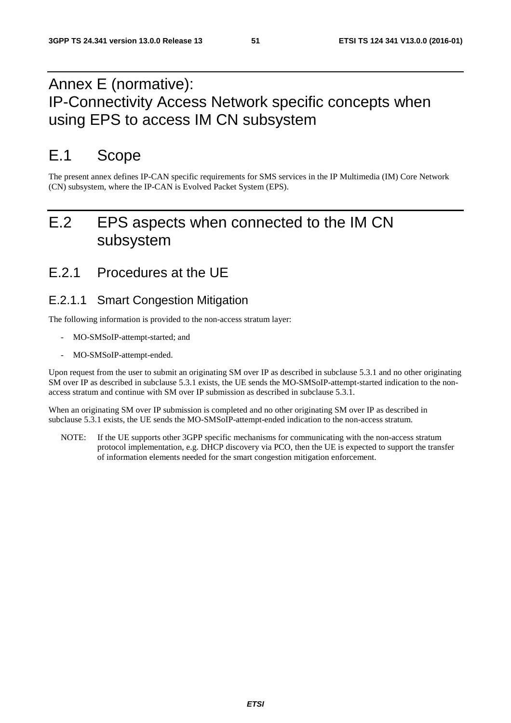## Annex E (normative): IP-Connectivity Access Network specific concepts when using EPS to access IM CN subsystem

## E.1 Scope

The present annex defines IP-CAN specific requirements for SMS services in the IP Multimedia (IM) Core Network (CN) subsystem, where the IP-CAN is Evolved Packet System (EPS).

## E.2 EPS aspects when connected to the IM CN subsystem

## E.2.1 Procedures at the UE

### E.2.1.1 Smart Congestion Mitigation

The following information is provided to the non-access stratum layer:

- MO-SMSoIP-attempt-started; and
- MO-SMSoIP-attempt-ended.

Upon request from the user to submit an originating SM over IP as described in subclause 5.3.1 and no other originating SM over IP as described in subclause 5.3.1 exists, the UE sends the MO-SMSoIP-attempt-started indication to the nonaccess stratum and continue with SM over IP submission as described in subclause 5.3.1.

When an originating SM over IP submission is completed and no other originating SM over IP as described in subclause 5.3.1 exists, the UE sends the MO-SMSoIP-attempt-ended indication to the non-access stratum.

NOTE: If the UE supports other 3GPP specific mechanisms for communicating with the non-access stratum protocol implementation, e.g. DHCP discovery via PCO, then the UE is expected to support the transfer of information elements needed for the smart congestion mitigation enforcement.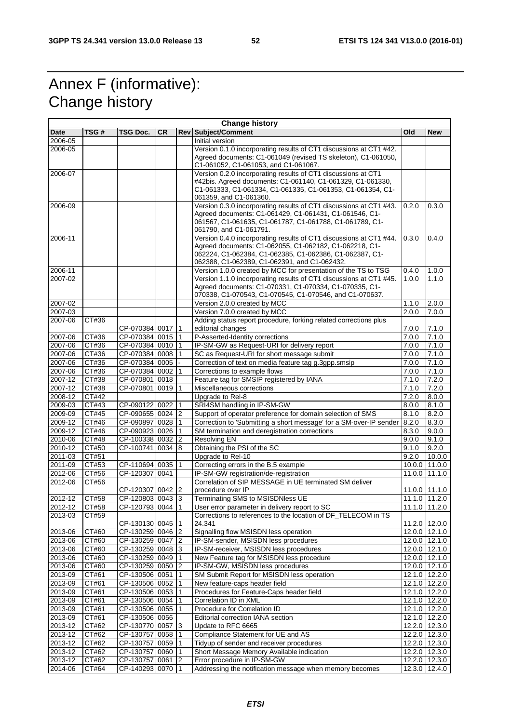## Annex F (informative): Change history

| <b>Change history</b> |                |                                      |           |                 |                                                                                                                                                                                                                                         |       |                                |
|-----------------------|----------------|--------------------------------------|-----------|-----------------|-----------------------------------------------------------------------------------------------------------------------------------------------------------------------------------------------------------------------------------------|-------|--------------------------------|
| Date                  | TSG #          | TSG Doc.                             | <b>CR</b> |                 | <b>Rev Subject/Comment</b>                                                                                                                                                                                                              | Old   | <b>New</b>                     |
| 2006-05               |                |                                      |           |                 | Initial version                                                                                                                                                                                                                         |       |                                |
| 2006-05               |                |                                      |           |                 | Version 0.1.0 incorporating results of CT1 discussions at CT1 #42.<br>Agreed documents: C1-061049 (revised TS skeleton), C1-061050,<br>C1-061052, C1-061053, and C1-061067.                                                             |       |                                |
| 2006-07               |                |                                      |           |                 | Version 0.2.0 incorporating results of CT1 discussions at CT1<br>#42bis. Agreed documents: C1-061140, C1-061329, C1-061330,<br>C1-061333, C1-061334, C1-061335, C1-061353, C1-061354, C1-<br>061359, and C1-061360.                     |       |                                |
| 2006-09               |                |                                      |           |                 | Version 0.3.0 incorporating results of CT1 discussions at CT1 #43.                                                                                                                                                                      | 0.2.0 | 0.3.0                          |
|                       |                |                                      |           |                 | Agreed documents: C1-061429, C1-061431, C1-061546, C1-<br>061567, C1-061635, C1-061787, C1-061788, C1-061789, C1-<br>061790, and C1-061791.                                                                                             |       |                                |
| 2006-11               |                |                                      |           |                 | Version 0.4.0 incorporating results of CT1 discussions at CT1 #44.<br>Agreed documents: C1-062055, C1-062182, C1-062218, C1-<br>062224, C1-062384, C1-062385, C1-062386, C1-062387, C1-<br>062388, C1-062389, C1-062391, and C1-062432. | 0.3.0 | 0.4.0                          |
| 2006-11               |                |                                      |           |                 | Version 1.0.0 created by MCC for presentation of the TS to TSG                                                                                                                                                                          | 0.4.0 | 1.0.0                          |
| 2007-02               |                |                                      |           |                 | Version 1.1.0 incorporating results of CT1 discussions at CT1 #45.<br>Agreed documents: C1-070331, C1-070334, C1-070335, C1-<br>070338, C1-070543, C1-070545, C1-070546, and C1-070637.                                                 | 1.0.0 | 1.1.0                          |
| 2007-02               |                |                                      |           |                 | Version 2.0.0 created by MCC                                                                                                                                                                                                            | 1.1.0 | 2.0.0                          |
| 2007-03               |                |                                      |           |                 | Version 7.0.0 created by MCC                                                                                                                                                                                                            | 2.0.0 | 7.0.0                          |
| 2007-06               | CT#36          | CP-070384 0017 1                     |           |                 | Adding status report procedure, forking related corrections plus<br>editorial changes                                                                                                                                                   | 7.0.0 | 7.1.0                          |
| 2007-06               | CT#36          | CP-070384 0015 1                     |           |                 | P-Asserted-Identity corrections                                                                                                                                                                                                         | 7.0.0 | 7.1.0                          |
| 2007-06               | CT#36          | CP-070384 0010 1                     |           |                 | IP-SM-GW as Request-URI for delivery report                                                                                                                                                                                             | 7.0.0 | 7.1.0                          |
| 2007-06               | CT#36          | CP-070384 0008                       |           | $\mathbf 1$     | SC as Request-URI for short message submit                                                                                                                                                                                              | 7.0.0 | 7.1.0                          |
| 2007-06               | CT#36          | CP-070384 0005                       |           |                 | Correction of text on media feature tag g.3gpp.smsip                                                                                                                                                                                    | 7.0.0 | 7.1.0                          |
| 2007-06               | CT#36          | CP-070384 0002                       |           | $\overline{11}$ | Corrections to example flows                                                                                                                                                                                                            | 7.0.0 | 7.1.0                          |
| 2007-12               | CT#38          | CP-070801 0018                       |           |                 | Feature tag for SMSIP registered by IANA                                                                                                                                                                                                | 7.1.0 | 7.2.0                          |
| 2007-12               | CT#38          | CP-070801 0019                       |           |                 | Miscellaneous corrections                                                                                                                                                                                                               | 7.1.0 | 7.2.0                          |
| 2008-12               | CT#42          |                                      |           |                 | Upgrade to Rel-8                                                                                                                                                                                                                        | 7.2.0 | 8.0.0                          |
| 2009-03               | CT#43          | CP-090122 0022 1                     |           |                 | SRI4SM handling in IP-SM-GW                                                                                                                                                                                                             | 8.0.0 | 8.1.0                          |
| 2009-09               | CT#45          | CP-090655 0024 2                     |           |                 | Support of operator preference for domain selection of SMS                                                                                                                                                                              | 8.1.0 | 8.2.0                          |
| 2009-12               | CT#46          | CP-090897 0028                       |           | $\vert$ 1       | Correction to 'Submitting a short message' for a SM-over-IP sender                                                                                                                                                                      | 8.2.0 | 8.3.0                          |
| 2009-12               | CT#46          | CP-090923 0026 1                     |           |                 | SM termination and deregistration corrections                                                                                                                                                                                           | 8.3.0 | 9.0.0                          |
| 2010-06               | CT#48          | CP-100338 0032 2                     |           |                 | <b>Resolving EN</b>                                                                                                                                                                                                                     | 9.0.0 | 9.1.0                          |
| 2010-12               | CT#50          | CP-100741 0034 8                     |           |                 | Obtaining the PSI of the SC                                                                                                                                                                                                             | 9.1.0 | 9.2.0                          |
| 2011-03               | CT#51          |                                      |           |                 | Upgrade to Rel-10                                                                                                                                                                                                                       | 9.2.0 | 10.0.0                         |
| 2011-09               | CT#53          | CP-110694 0035                       |           | $\mathbf 1$     | Correcting errors in the B.5 example                                                                                                                                                                                                    |       | 10.0.0 11.0.0                  |
| 2012-06<br>2012-06    | CT#56<br>CT#56 | CP-120307 0041                       |           |                 | IP-SM-GW registration/de-registration<br>Correlation of SIP MESSAGE in UE terminated SM deliver                                                                                                                                         |       | 11.0.0 11.1.0                  |
|                       |                | CP-120307 0042                       |           | 2               | procedure over IP                                                                                                                                                                                                                       |       | 11.0.0 11.1.0<br>11.1.0 11.2.0 |
| 2012-12<br>2012-12    | CT#58          | CP-120803 0043 3<br>CP-120793 0044 1 |           |                 | Terminating SMS to MSISDNIess UE                                                                                                                                                                                                        |       | 11.1.0 11.2.0                  |
|                       | CT#58          |                                      |           |                 | User error parameter in delivery report to SC<br>Corrections to references to the location of DF_TELECOM in TS                                                                                                                          |       |                                |
| 2013-03               | CT#59          | CP-130130 0045 1                     |           |                 | 24.341<br>Signalling flow MSISDN less operation                                                                                                                                                                                         |       | 11.2.0 12.0.0                  |
| 2013-06<br>2013-06    | CT#60<br>CT#60 | CP-130259 0046 2<br>CP-130259 0047 2 |           |                 | IP-SM-sender, MSISDN less procedures                                                                                                                                                                                                    |       | 12.0.0 12.1.0<br>12.0.0 12.1.0 |
| 2013-06               | CT#60          | CP-130259 0048                       |           | $\vert$ 3       | IP-SM-receiver, MSISDN less procedures                                                                                                                                                                                                  |       | 12.0.0 12.1.0                  |
| 2013-06               | CT#60          | CP-130259 0049                       |           | $\vert$ 1       | New Feature tag for MSISDN less procedure                                                                                                                                                                                               |       | 12.0.0 12.1.0                  |
| 2013-06               | CT#60          | CP-130259 0050                       |           | 2               | IP-SM-GW, MSISDN less procedures                                                                                                                                                                                                        |       | 12.0.0 12.1.0                  |
| 2013-09               | CT#61          | CP-130506 0051                       |           | 11              | SM Submit Report for MSISDN less operation                                                                                                                                                                                              |       | 12.1.0 12.2.0                  |
| 2013-09               | CT#61          | CP-130506 0052                       |           | 1               | New feature-caps header field                                                                                                                                                                                                           |       | 12.1.0 12.2.0                  |
| 2013-09               | CT#61          | CP-130506 0053                       |           | $\vert$ 1       | Procedures for Feature-Caps header field                                                                                                                                                                                                |       | 12.1.0 12.2.0                  |
| 2013-09               | CT#61          | CP-130506 0054                       |           | $\overline{11}$ | Correlation ID in XML                                                                                                                                                                                                                   |       | 12.1.0 12.2.0                  |
| 2013-09               | CT#61          | CP-130506 0055                       |           |                 | Procedure for Correlation ID                                                                                                                                                                                                            |       | 12.1.0 12.2.0                  |
| 2013-09               | CT#61          | CP-130506 0056                       |           |                 | Editorial correction IANA section                                                                                                                                                                                                       |       | 12.1.0 12.2.0                  |
| 2013-12               | CT#62          | CP-130770 0057 3                     |           |                 | Update to RFC 6665                                                                                                                                                                                                                      |       | 12.2.0 12.3.0                  |
| 2013-12               | CT#62          | CP-130757 0058                       |           | $\mathsf{I}$    | Compliance Statement for UE and AS                                                                                                                                                                                                      |       | 12.2.0 12.3.0                  |
| 2013-12               | CT#62          | CP-130757 0059                       |           | $\vert$ 1       | Tidyup of sender and receiver procedures                                                                                                                                                                                                |       | 12.2.0 12.3.0                  |
| 2013-12               | CT#62          | CP-130757 0060 1                     |           |                 | Short Message Memory Available indication                                                                                                                                                                                               |       | 12.2.0 12.3.0                  |
| 2013-12               | CT#62          | CP-130757 0061                       |           | $ 2\rangle$     | Error procedure in IP-SM-GW                                                                                                                                                                                                             |       | 12.2.0 12.3.0                  |
| 2014-06               | CT#64          | CP-140293 0070 1                     |           |                 | Addressing the notification message when memory becomes                                                                                                                                                                                 |       | 12.3.0 12.4.0                  |
|                       |                |                                      |           |                 |                                                                                                                                                                                                                                         |       |                                |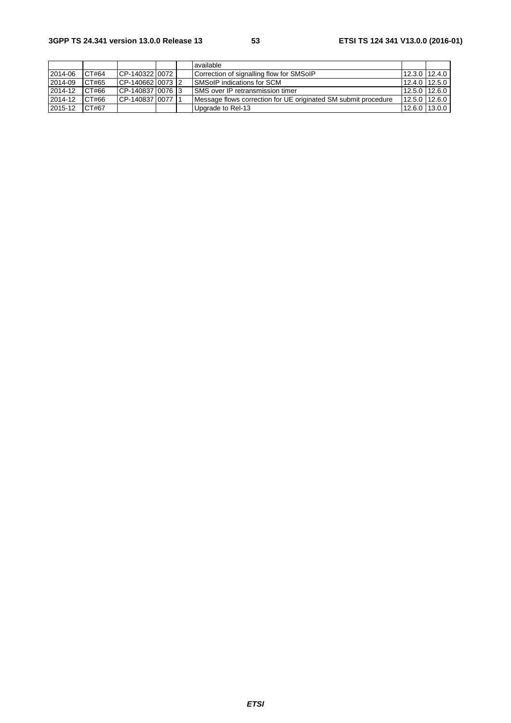|         |       |                  |  | available                                                      |               |  |
|---------|-------|------------------|--|----------------------------------------------------------------|---------------|--|
| 2014-06 | CT#64 | CP-14032210072   |  | Correction of signalling flow for SMSoIP                       | 12.3.0 12.4.0 |  |
| 2014-09 | CT#65 | CP-1406621007312 |  | <b>ISMSoIP</b> indications for SCM                             | 12.4.0 12.5.0 |  |
| 2014-12 | CT#66 | CP-140837 0076 3 |  | <b>ISMS</b> over IP retransmission timer                       | 12.5.0 12.6.0 |  |
| 2014-12 | CT#66 | CP-140837100771  |  | Message flows correction for UE originated SM submit procedure | 12.5.0 12.6.0 |  |
| 2015-12 | CT#67 |                  |  | Upgrade to Rel-13                                              | 12.6.0 13.0.0 |  |